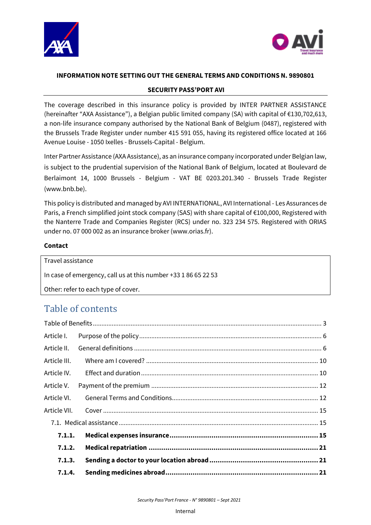



### **INFORMATION NOTE SETTING OUT THE GENERAL TERMS AND CONDITIONS N. 9890801**

#### **SECURITY PASS'PORT AVI**

The coverage described in this insurance policy is provided by INTER PARTNER ASSISTANCE (hereinafter "AXA Assistance"), a Belgian public limited company (SA) with capital of €130,702,613, a non-life insurance company authorised by the National Bank of Belgium (0487), registered with the Brussels Trade Register under number 415 591 055, having its registered office located at 166 Avenue Louise - 1050 Ixelles - Brussels-Capital - Belgium.

Inter Partner Assistance (AXA Assistance), as an insurance company incorporated under Belgian law, is subject to the prudential supervision of the National Bank of Belgium, located at Boulevard de Berlaimont 14, 1000 Brussels - Belgium - VAT BE 0203.201.340 - Brussels Trade Register [\(www.bnb.be\)](http://www.bnb.be/).

This policy is distributed and managed by AVI INTERNATIONAL, AVI International - Les Assurances de Paris, a French simplified joint stock company (SAS) with share capital of €100,000, Registered with the Nanterre Trade and Companies Register (RCS) under no. 323 234 575. Registered with ORIAS under no. 07 000 002 as an insurance broker (www.orias.fr).

#### **Contact**

Travel assistance In case of emergency, call us at this number +33 1 86 65 22 53 Other: refer to each type of cover.

# Table of contents

| Article I.   |  |
|--------------|--|
| Article II.  |  |
| Article III. |  |
| Article IV.  |  |
| Article V.   |  |
| Article VI.  |  |
| Article VII. |  |
|              |  |
| 7.1.1.       |  |
| 7.1.2.       |  |
| 7.1.3.       |  |
| 7.1.4.       |  |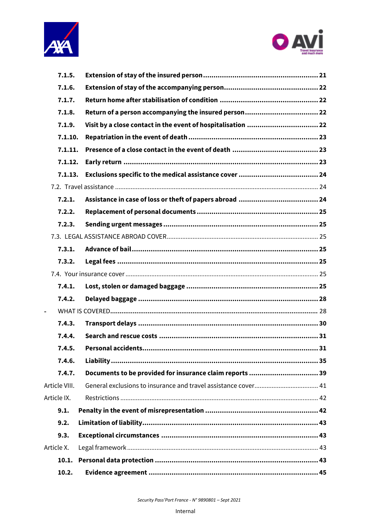



| 7.1.5.        |                                                              |
|---------------|--------------------------------------------------------------|
| 7.1.6.        |                                                              |
| 7.1.7.        |                                                              |
| 7.1.8.        |                                                              |
| 7.1.9.        | Visit by a close contact in the event of hospitalisation  22 |
| 7.1.10.       |                                                              |
| 7.1.11.       |                                                              |
| 7.1.12.       |                                                              |
| 7.1.13.       |                                                              |
|               |                                                              |
| 7.2.1.        |                                                              |
| 7.2.2.        |                                                              |
| 7.2.3.        |                                                              |
|               |                                                              |
| 7.3.1.        |                                                              |
| 7.3.2.        |                                                              |
|               |                                                              |
| 7.4.1.        |                                                              |
| 7.4.2.        |                                                              |
|               |                                                              |
| 7.4.3.        |                                                              |
| 7.4.4.        |                                                              |
| 7.4.5.        |                                                              |
| 7.4.6.        |                                                              |
| 7.4.7.        | Documents to be provided for insurance claim reports  39     |
| Article VIII. |                                                              |
| Article IX.   |                                                              |
| 9.1.          |                                                              |
| 9.2.          |                                                              |
| 9.3.          |                                                              |
| Article X.    |                                                              |
| 10.1.         |                                                              |
| 10.2.         |                                                              |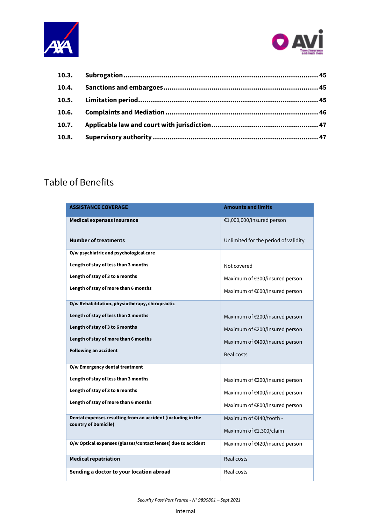



| 10.6. |  |
|-------|--|
| 10.7. |  |
| 10.8. |  |
|       |  |

# <span id="page-2-0"></span>Table of Benefits

| <b>ASSISTANCE COVERAGE</b>                                                           | <b>Amounts and limits</b>            |
|--------------------------------------------------------------------------------------|--------------------------------------|
| <b>Medical expenses insurance</b>                                                    | €1,000,000/insured person            |
| <b>Number of treatments</b>                                                          | Unlimited for the period of validity |
| O/w psychiatric and psychological care                                               |                                      |
| Length of stay of less than 3 months                                                 | Not covered                          |
| Length of stay of 3 to 6 months                                                      | Maximum of €300/insured person       |
| Length of stay of more than 6 months                                                 | Maximum of €600/insured person       |
| O/w Rehabilitation, physiotherapy, chiropractic                                      |                                      |
| Length of stay of less than 3 months                                                 | Maximum of €200/insured person       |
| Length of stay of 3 to 6 months                                                      | Maximum of €200/insured person       |
| Length of stay of more than 6 months                                                 | Maximum of €400/insured person       |
| <b>Following an accident</b>                                                         | Real costs                           |
| O/w Emergency dental treatment                                                       |                                      |
| Length of stay of less than 3 months                                                 | Maximum of €200/insured person       |
| Length of stay of 3 to 6 months                                                      | Maximum of €400/insured person       |
| Length of stay of more than 6 months                                                 | Maximum of €800/insured person       |
| Dental expenses resulting from an accident (including in the<br>country of Domicile) | Maximum of €440/tooth -              |
|                                                                                      | Maximum of €1,300/claim              |
| O/w Optical expenses (glasses/contact lenses) due to accident                        | Maximum of €420/insured person       |
| <b>Medical repatriation</b>                                                          | Real costs                           |
| Sending a doctor to your location abroad                                             | Real costs                           |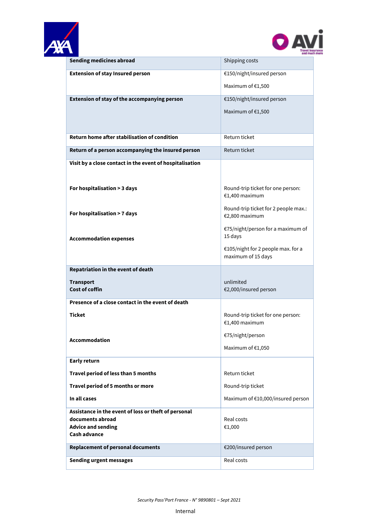



|                                                          | and much                                                 |
|----------------------------------------------------------|----------------------------------------------------------|
| <b>Sending medicines abroad</b>                          | Shipping costs                                           |
| <b>Extension of stay Insured person</b>                  | €150/night/insured person                                |
|                                                          | Maximum of €1,500                                        |
| Extension of stay of the accompanying person             | €150/night/insured person                                |
|                                                          | Maximum of €1,500                                        |
|                                                          |                                                          |
| <b>Return home after stabilisation of condition</b>      | Return ticket                                            |
| Return of a person accompanying the insured person       | Return ticket                                            |
| Visit by a close contact in the event of hospitalisation |                                                          |
|                                                          |                                                          |
|                                                          |                                                          |
| For hospitalisation > 3 days                             | Round-trip ticket for one person:<br>€1,400 maximum      |
| For hospitalisation > 7 days                             | Round-trip ticket for 2 people max.:<br>€2,800 maximum   |
| <b>Accommodation expenses</b>                            | €75/night/person for a maximum of<br>15 days             |
|                                                          |                                                          |
|                                                          | €105/night for 2 people max. for a<br>maximum of 15 days |
| Repatriation in the event of death                       |                                                          |
| <b>Transport</b>                                         | unlimited                                                |
| <b>Cost of coffin</b>                                    | €2,000/insured person                                    |
| Presence of a close contact in the event of death        |                                                          |
|                                                          |                                                          |
| <b>Ticket</b>                                            | Round-trip ticket for one person:<br>€1,400 maximum      |
| <b>Accommodation</b>                                     | €75/night/person                                         |
|                                                          | Maximum of €1,050                                        |
|                                                          |                                                          |
| <b>Early return</b>                                      |                                                          |
| Travel period of less than 5 months                      | Return ticket                                            |
| Travel period of 5 months or more                        | Round-trip ticket                                        |
| In all cases                                             | Maximum of €10,000/insured person                        |
| Assistance in the event of loss or theft of personal     |                                                          |
| documents abroad                                         | Real costs                                               |
| <b>Advice and sending</b><br><b>Cash advance</b>         | €1,000                                                   |
|                                                          |                                                          |
| <b>Replacement of personal documents</b>                 | €200/insured person                                      |
| <b>Sending urgent messages</b>                           | Real costs                                               |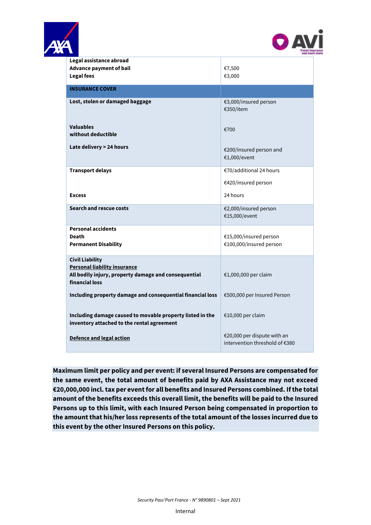



| $\overline{\phantom{0}}$                                                                                                                | and muc                                                       |
|-----------------------------------------------------------------------------------------------------------------------------------------|---------------------------------------------------------------|
| Legal assistance abroad<br><b>Advance payment of bail</b><br><b>Legal fees</b>                                                          | €7,500<br>€3,000                                              |
| <b>INSURANCE COVER</b>                                                                                                                  |                                                               |
| Lost, stolen or damaged baggage                                                                                                         | €3,000/insured person<br>€350/item                            |
| <b>Valuables</b><br>without deductible                                                                                                  | €700                                                          |
| Late delivery > 24 hours                                                                                                                | €200/insured person and<br>€1,000/event                       |
| <b>Transport delays</b>                                                                                                                 | €70/additional 24 hours<br>€420/insured person                |
| <b>Excess</b>                                                                                                                           | 24 hours                                                      |
| <b>Search and rescue costs</b>                                                                                                          | €2,000/insured person<br>€15,000/event                        |
| <b>Personal accidents</b><br><b>Death</b><br><b>Permanent Disability</b>                                                                | €15,000/insured person<br>€100,000/insured person             |
| <b>Civil Liability</b><br><b>Personal liability insurance</b><br>All bodily injury, property damage and consequential<br>financial loss | €1,000,000 per claim                                          |
| Including property damage and consequential financial loss                                                                              | €500,000 per Insured Person                                   |
| Including damage caused to movable property listed in the<br>inventory attached to the rental agreement                                 | €10,000 per claim                                             |
| Defence and legal action                                                                                                                | €20,000 per dispute with an<br>intervention threshold of €380 |

**Maximum limit per policy and per event: if several Insured Persons are compensated for the same event, the total amount of benefits paid by AXA Assistance may not exceed €20,000,000 incl. tax per event for all benefits and Insured Persons combined. If the total amount of the benefits exceeds this overall limit, the benefits will be paid to the Insured Persons up to this limit, with each Insured Person being compensated in proportion to the amount that his/her loss represents of the total amount of the losses incurred due to this event by the other Insured Persons on this policy.**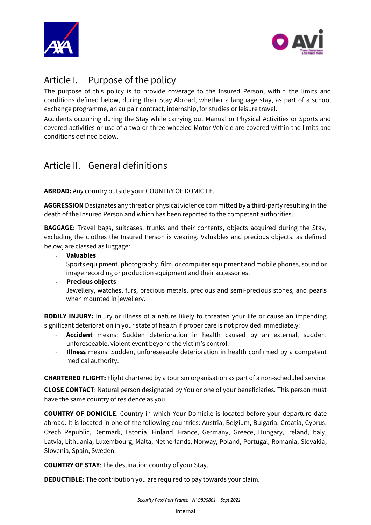



# <span id="page-5-0"></span>Article I. Purpose of the policy

The purpose of this policy is to provide coverage to the Insured Person, within the limits and conditions defined below, during their Stay Abroad, whether a language stay, as part of a school exchange programme, an au pair contract, internship, for studies or leisure travel.

Accidents occurring during the Stay while carrying out Manual or Physical Activities or Sports and covered activities or use of a two or three-wheeled Motor Vehicle are covered within the limits and conditions defined below.

# <span id="page-5-1"></span>Article II. General definitions

**ABROAD:** Any country outside your COUNTRY OF DOMICILE.

**AGGRESSION** Designates any threat or physical violence committed by a third-party resulting in the death of the Insured Person and which has been reported to the competent authorities.

**BAGGAGE**: Travel bags, suitcases, trunks and their contents, objects acquired during the Stay, excluding the clothes the Insured Person is wearing. Valuables and precious objects, as defined below, are classed as luggage:

- **Valuables** 

Sports equipment, photography, film, or computer equipment and mobile phones, sound or image recording or production equipment and their accessories.

#### - **Precious objects**  Jewellery, watches, furs, precious metals, precious and semi-precious stones, and pearls when mounted in jewellery.

**BODILY INJURY:** Injury or illness of a nature likely to threaten your life or cause an impending significant deterioration in your state of health if proper care is not provided immediately:

- Accident means: Sudden deterioration in health caused by an external, sudden, unforeseeable, violent event beyond the victim's control.
- **Illness** means: Sudden, unforeseeable deterioration in health confirmed by a competent medical authority.

**CHARTERED FLIGHT:** Flight chartered by a tourism organisation as part of a non-scheduled service.

**CLOSE CONTACT**: Natural person designated by You or one of your beneficiaries. This person must have the same country of residence as you.

**COUNTRY OF DOMICILE**: Country in which Your Domicile is located before your departure date abroad. It is located in one of the following countries: Austria, Belgium, Bulgaria, Croatia, Cyprus, Czech Republic, Denmark, Estonia, Finland, France, Germany, Greece, Hungary, Ireland, Italy, Latvia, Lithuania, Luxembourg, Malta, Netherlands, Norway, Poland, Portugal, Romania, Slovakia, Slovenia, Spain, Sweden.

**COUNTRY OF STAY**: The destination country of your Stay.

**DEDUCTIBLE:** The contribution you are required to pay towards your claim.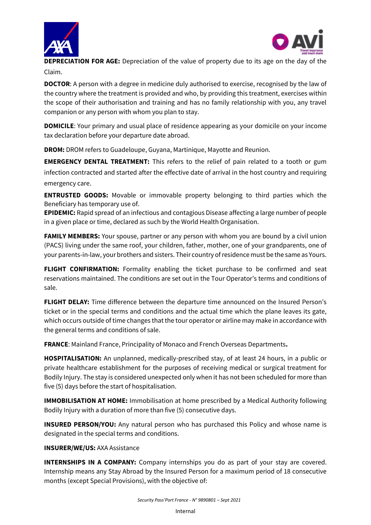



**DEPRECIATION FOR AGE:** Depreciation of the value of property due to its age on the day of the Claim.

**DOCTOR:** A person with a degree in medicine duly authorised to exercise, recognised by the law of the country where the treatment is provided and who, by providing this treatment, exercises within the scope of their authorisation and training and has no family relationship with you, any travel companion or any person with whom you plan to stay.

**DOMICILE:** Your primary and usual place of residence appearing as your domicile on your income tax declaration before your departure date abroad.

**DROM:** DROM refers to Guadeloupe, Guyana, Martinique, Mayotte and Reunion.

**EMERGENCY DENTAL TREATMENT:** This refers to the relief of pain related to a tooth or gum infection contracted and started after the effective date of arrival in the host country and requiring emergency care.

**ENTRUSTED GOODS:** Movable or immovable property belonging to third parties which the Beneficiary has temporary use of.

**EPIDEMIC:** Rapid spread of an infectious and contagious Disease affecting a large number of people in a given place or time, declared as such by the World Health Organisation.

**FAMILY MEMBERS:** Your spouse, partner or any person with whom you are bound by a civil union (PACS) living under the same roof, your children, father, mother, one of your grandparents, one of your parents-in-law, your brothers and sisters. Their country of residence must be the same as Yours.

**FLIGHT CONFIRMATION:** Formality enabling the ticket purchase to be confirmed and seat reservations maintained. The conditions are set out in the Tour Operator's terms and conditions of sale.

**FLIGHT DELAY:** Time difference between the departure time announced on the Insured Person's ticket or in the special terms and conditions and the actual time which the plane leaves its gate, which occurs outside of time changes that the tour operator or airline may make in accordance with the general terms and conditions of sale.

**FRANCE**: Mainland France, Principality of Monaco and French Overseas Departments**.**

**HOSPITALISATION:** An unplanned, medically-prescribed stay, of at least 24 hours, in a public or private healthcare establishment for the purposes of receiving medical or surgical treatment for Bodily Injury. The stay is considered unexpected only when it has not been scheduled for more than five (5) days before the start of hospitalisation.

**IMMOBILISATION AT HOME:** Immobilisation at home prescribed by a Medical Authority following Bodily Injury with a duration of more than five (5) consecutive days.

**INSURED PERSON/YOU:** Any natural person who has purchased this Policy and whose name is designated in the special terms and conditions.

#### **INSURER/WE/US:** AXA Assistance

**INTERNSHIPS IN A COMPANY:** Company internships you do as part of your stay are covered. Internship means any Stay Abroad by the Insured Person for a maximum period of 18 consecutive months (except Special Provisions), with the objective of: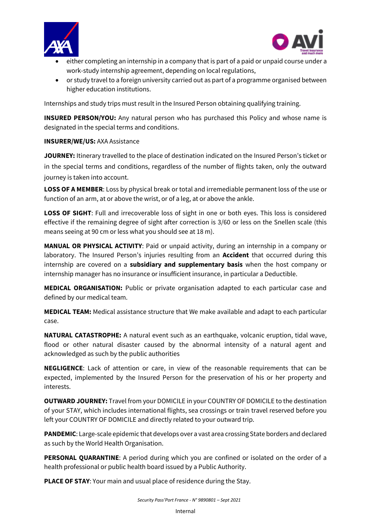



- $\overline{\phantom{a}}$ either completing an internship in a company that is part of a paid or unpaid course under a work-study internship agreement, depending on local regulations,
- or study travel to a foreign university carried out as part of a programme organised between higher education institutions.

Internships and study trips must result in the Insured Person obtaining qualifying training.

**INSURED PERSON/YOU:** Any natural person who has purchased this Policy and whose name is designated in the special terms and conditions.

#### **INSURER/WE/US:** AXA Assistance

**JOURNEY:** Itinerary travelled to the place of destination indicated on the Insured Person's ticket or in the special terms and conditions, regardless of the number of flights taken, only the outward journey is taken into account.

**LOSS OF A MEMBER**: Loss by physical break or total and irremediable permanent loss of the use or function of an arm, at or above the wrist, or of a leg, at or above the ankle.

**LOSS OF SIGHT**: Full and irrecoverable loss of sight in one or both eyes. This loss is considered effective if the remaining degree of sight after correction is 3/60 or less on the Snellen scale (this means seeing at 90 cm or less what you should see at 18 m).

**MANUAL OR PHYSICAL ACTIVITY**: Paid or unpaid activity, during an internship in a company or laboratory. The Insured Person's injuries resulting from an **Accident** that occurred during this internship are covered on a **subsidiary and supplementary basis** when the host company or internship manager has no insurance or insufficient insurance, in particular a Deductible.

**MEDICAL ORGANISATION:** Public or private organisation adapted to each particular case and defined by our medical team.

**MEDICAL TEAM:** Medical assistance structure that We make available and adapt to each particular case.

**NATURAL CATASTROPHE:** A natural event such as an earthquake, volcanic eruption, tidal wave, flood or other natural disaster caused by the abnormal intensity of a natural agent and acknowledged as such by the public authorities

**NEGLIGENCE**: Lack of attention or care, in view of the reasonable requirements that can be expected, implemented by the Insured Person for the preservation of his or her property and interests.

**OUTWARD JOURNEY:** Travel from your DOMICILE in your COUNTRY OF DOMICILE to the destination of your STAY, which includes international flights, sea crossings or train travel reserved before you left your COUNTRY OF DOMICILE and directly related to your outward trip.

**PANDEMIC**: Large-scale epidemic that develops over a vast area crossing State borders and declared as such by the World Health Organisation.

**PERSONAL QUARANTINE:** A period during which you are confined or isolated on the order of a health professional or public health board issued by a Public Authority.

**PLACE OF STAY**: Your main and usual place of residence during the Stay.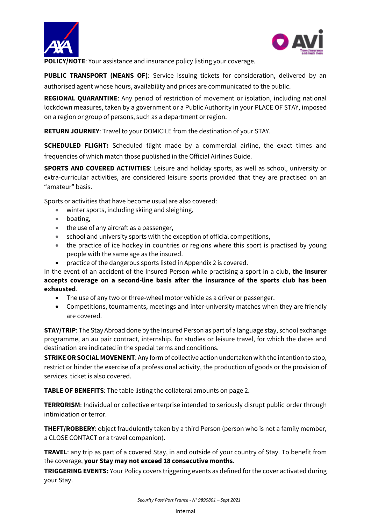



**POLICY/NOTE:** Your assistance and insurance policy listing your coverage.

**PUBLIC TRANSPORT (MEANS OF)**: Service issuing tickets for consideration, delivered by an authorised agent whose hours, availability and prices are communicated to the public.

**REGIONAL QUARANTINE**: Any period of restriction of movement or isolation, including national lockdown measures, taken by a government or a Public Authority in your PLACE OF STAY, imposed on a region or group of persons, such as a department or region.

**RETURN JOURNEY**: Travel to your DOMICILE from the destination of your STAY.

**SCHEDULED FLIGHT:** Scheduled flight made by a commercial airline, the exact times and frequencies of which match those published in the Official Airlines Guide.

**SPORTS AND COVERED ACTIVITIES**: Leisure and holiday sports, as well as school, university or extra-curricular activities, are considered leisure sports provided that they are practised on an "amateur" basis.

Sports or activities that have become usual are also covered:

- winter sports, including skiing and sleighing,
- boating,
- the use of any aircraft as a passenger,
- school and university sports with the exception of official competitions,
- the practice of ice hockey in countries or regions where this sport is practised by young people with the same age as the insured.
- practice of the dangerous sports listed in Appendix 2 is covered.

In the event of an accident of the Insured Person while practising a sport in a club, **the Insurer accepts coverage on a second-line basis after the insurance of the sports club has been exhausted**.

- The use of any two or three-wheel motor vehicle as a driver or passenger.
- Competitions, tournaments, meetings and inter-university matches when they are friendly are covered.

**STAY/TRIP**: The Stay Abroad done by the Insured Person as part of a language stay, school exchange programme, an au pair contract, internship, for studies or leisure travel, for which the dates and destination are indicated in the special terms and conditions.

**STRIKE OR SOCIAL MOVEMENT**: Any form of collective action undertaken with the intention to stop, restrict or hinder the exercise of a professional activity, the production of goods or the provision of services. ticket is also covered.

**TABLE OF BENEFITS**: The table listing the collateral amounts on page 2.

**TERRORISM**: Individual or collective enterprise intended to seriously disrupt public order through intimidation or terror.

**THEFT/ROBBERY**: object fraudulently taken by a third Person (person who is not a family member, a CLOSE CONTACT or a travel companion).

**TRAVEL**: any trip as part of a covered Stay, in and outside of your country of Stay. To benefit from the coverage, **your Stay may not exceed 18 consecutive months**.

**TRIGGERING EVENTS:** Your Policy covers triggering events as defined for the cover activated during your Stay.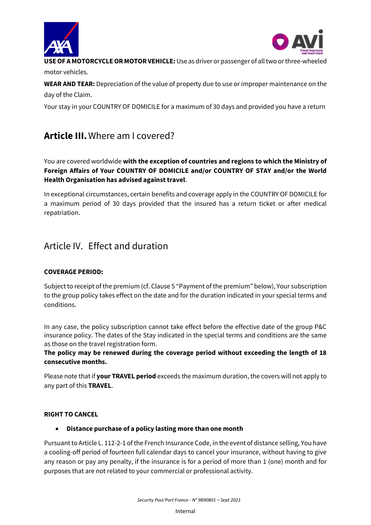



**USE OF A MOTORCYCLE OR MOTOR VEHICLE:** Use as driver or passenger of all two or three-wheeled motor vehicles.

**WEAR AND TEAR:** Depreciation of the value of property due to use or improper maintenance on the day of the Claim.

Your stay in your COUNTRY OF DOMICILE for a maximum of 30 days and provided you have a return

# <span id="page-9-0"></span>**Article III.**Where am I covered?

You are covered worldwide **with the exception of countries and regions to which the Ministry of Foreign Affairs of Your COUNTRY OF DOMICILE and/or COUNTRY OF STAY and/or the World Health Organisation has advised against travel**.

In exceptional circumstances, certain benefits and coverage apply in the COUNTRY OF DOMICILE for a maximum period of 30 days provided that the insured has a return ticket or after medical repatriation.

# <span id="page-9-1"></span>Article IV. Effect and duration

# **COVERAGE PERIOD:**

Subject to receipt of the premium (cf. Clause 5 "Payment of the premium" below), Your subscription to the group policy takes effect on the date and for the duration indicated in your special terms and conditions.

In any case, the policy subscription cannot take effect before the effective date of the group P&C insurance policy. The dates of the Stay indicated in the special terms and conditions are the same as those on the travel registration form.

# **The policy may be renewed during the coverage period without exceeding the length of 18 consecutive months.**

Please note that if **your TRAVEL period** exceeds the maximum duration, the covers will not apply to any part of this **TRAVEL**.

# **RIGHT TO CANCEL**

# • **Distance purchase of a policy lasting more than one month**

Pursuant to Article L. 112-2-1 of the French Insurance Code, in the event of distance selling, You have a cooling-off period of fourteen full calendar days to cancel your insurance, without having to give any reason or pay any penalty, if the insurance is for a period of more than 1 (one) month and for purposes that are not related to your commercial or professional activity.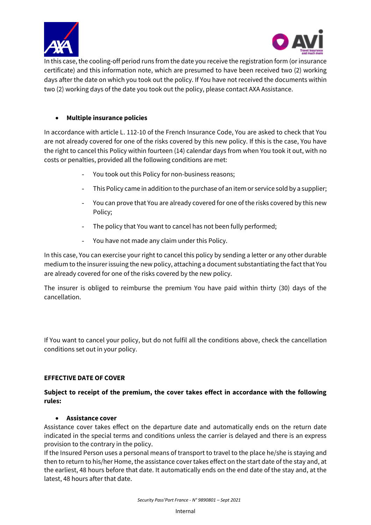



 $\overline{\phantom{a}}$ In this case, the cooling-off period runs from the date you receive the registration form (or insurance certificate) and this information note, which are presumed to have been received two (2) working days after the date on which you took out the policy. If You have not received the documents within two (2) working days of the date you took out the policy, please contact AXA Assistance.

## • **Multiple insurance policies**

In accordance with article L. 112-10 of the French Insurance Code, You are asked to check that You are not already covered for one of the risks covered by this new policy. If this is the case, You have the right to cancel this Policy within fourteen (14) calendar days from when You took it out, with no costs or penalties, provided all the following conditions are met:

- You took out this Policy for non-business reasons;
- This Policy came in addition to the purchase of an item or service sold by a supplier;
- You can prove that You are already covered for one of the risks covered by this new Policy;
- The policy that You want to cancel has not been fully performed;
- You have not made any claim under this Policy.

In this case, You can exercise your right to cancel this policy by sending a letter or any other durable medium to the insurer issuing the new policy, attaching a document substantiating the fact that You are already covered for one of the risks covered by the new policy.

The insurer is obliged to reimburse the premium You have paid within thirty (30) days of the cancellation.

If You want to cancel your policy, but do not fulfil all the conditions above, check the cancellation conditions set out in your policy.

#### **EFFECTIVE DATE OF COVER**

## **Subject to receipt of the premium, the cover takes effect in accordance with the following rules:**

#### • **Assistance cover**

Assistance cover takes effect on the departure date and automatically ends on the return date indicated in the special terms and conditions unless the carrier is delayed and there is an express provision to the contrary in the policy.

If the Insured Person uses a personal means of transport to travel to the place he/she is staying and then to return to his/her Home, the assistance cover takes effect on the start date of the stay and, at the earliest, 48 hours before that date. It automatically ends on the end date of the stay and, at the latest, 48 hours after that date.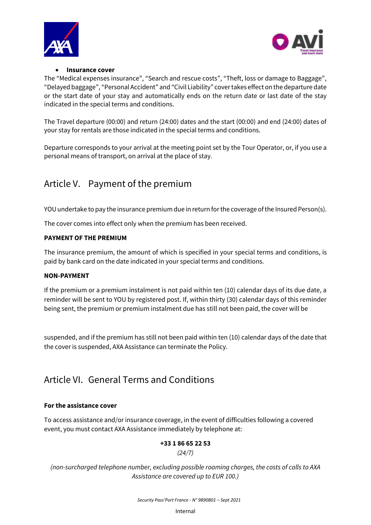



## • **Insurance cover**

The "Medical expenses insurance", "Search and rescue costs", "Theft, loss or damage to Baggage", "Delayed baggage", "Personal Accident" and "Civil Liability" cover takes effect on the departure date or the start date of your stay and automatically ends on the return date or last date of the stay indicated in the special terms and conditions.

The Travel departure (00:00) and return (24:00) dates and the start (00:00) and end (24:00) dates of your stay for rentals are those indicated in the special terms and conditions.

Departure corresponds to your arrival at the meeting point set by the Tour Operator, or, if you use a personal means of transport, on arrival at the place of stay.

# <span id="page-11-0"></span>Article V. Payment of the premium

YOU undertake to pay the insurance premium due in return for the coverage of the Insured Person(s).

The cover comes into effect only when the premium has been received.

# **PAYMENT OF THE PREMIUM**

The insurance premium, the amount of which is specified in your special terms and conditions, is paid by bank card on the date indicated in your special terms and conditions.

#### **NON-PAYMENT**

If the premium or a premium instalment is not paid within ten (10) calendar days of its due date, a reminder will be sent to YOU by registered post. If, within thirty (30) calendar days of this reminder being sent, the premium or premium instalment due has still not been paid, the cover will be

suspended, and if the premium has still not been paid within ten (10) calendar days of the date that the cover is suspended, AXA Assistance can terminate the Policy.

# <span id="page-11-1"></span>Article VI. General Terms and Conditions

# **For the assistance cover**

To access assistance and/or insurance coverage, in the event of difficulties following a covered event, you must contact AXA Assistance immediately by telephone at:

# **+33 1 86 65 22 53**

*(24/7)*

*(non-surcharged telephone number, excluding possible roaming charges, the costs of calls to AXA Assistance are covered up to EUR 100.)*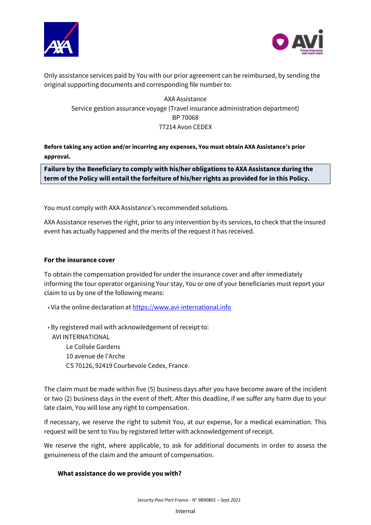



Only assistance services paid by You with our prior agreement can be reimbursed, by sending the original supporting documents and corresponding file number to:

AXA Assistance Service gestion assurance voyage (Travel insurance administration department) BP 70068 77214 Avon CEDEX

**Before taking any action and/or incurring any expenses, You must obtain AXA Assistance's prior approval.**

**Failure by the Beneficiary to comply with his/her obligations to AXA Assistance during the term of the Policy will entail the forfeiture of his/her rights as provided for in this Policy.** 

You must comply with AXA Assistance's recommended solutions.

AXA Assistance reserves the right, prior to any intervention by its services, to check that the insured event has actually happened and the merits of the request it has received.

#### **For the insurance cover**

To obtain the compensation provided for under the insurance cover and after immediately informing the tour operator organising Your stay, You or one of your beneficiaries must report your claim to us by one of the following means:

- Via the online declaration at [https://www.avi-international.info](https://www.avi-international.info/)
- By registered mail with acknowledgement of receipt to:

AVI INTERNATIONAL Le Colisée Gardens 10 avenue de l'Arche CS 70126, 92419 Courbevoie Cedex, France.

The claim must be made within five (5) business days after you have become aware of the incident or two (2) business days in the event of theft. After this deadline, if we suffer any harm due to your late claim, You will lose any right to compensation.

If necessary, we reserve the right to submit You, at our expense, for a medical examination. This request will be sent to You by registered letter with acknowledgement of receipt.

We reserve the right, where applicable, to ask for additional documents in order to assess the genuineness of the claim and the amount of compensation.

#### **What assistance do we provide you with?**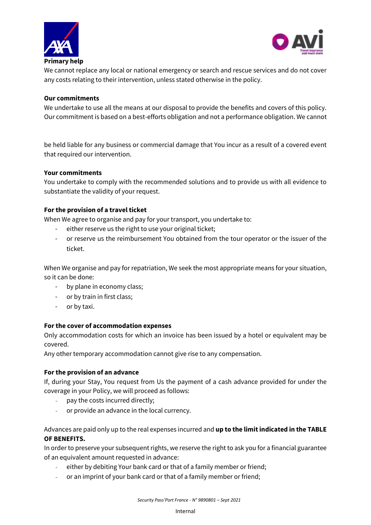



We cannot replace any local or national emergency or search and rescue services and do not cover any costs relating to their intervention, unless stated otherwise in the policy.

### **Our commitments**

We undertake to use all the means at our disposal to provide the benefits and covers of this policy. Our commitment is based on a best-efforts obligation and not a performance obligation. We cannot

be held liable for any business or commercial damage that You incur as a result of a covered event that required our intervention.

#### **Your commitments**

You undertake to comply with the recommended solutions and to provide us with all evidence to substantiate the validity of your request.

## **For the provision of a travel ticket**

When We agree to organise and pay for your transport, you undertake to:

- either reserve us the right to use your original ticket;
- or reserve us the reimbursement You obtained from the tour operator or the issuer of the ticket.

When We organise and pay for repatriation, We seek the most appropriate means for your situation, so it can be done:

- by plane in economy class;
- or by train in first class;
- or by taxi.

#### **For the cover of accommodation expenses**

Only accommodation costs for which an invoice has been issued by a hotel or equivalent may be covered.

Any other temporary accommodation cannot give rise to any compensation.

#### **For the provision of an advance**

If, during your Stay, You request from Us the payment of a cash advance provided for under the coverage in your Policy, we will proceed as follows:

- pay the costs incurred directly;
- or provide an advance in the local currency.

## Advances are paid only up to the real expenses incurred and **up to the limit indicated in the TABLE OF BENEFITS.**

In order to preserve your subsequent rights, we reserve the right to ask you for a financial guarantee of an equivalent amount requested in advance:

- either by debiting Your bank card or that of a family member or friend;
- or an imprint of your bank card or that of a family member or friend;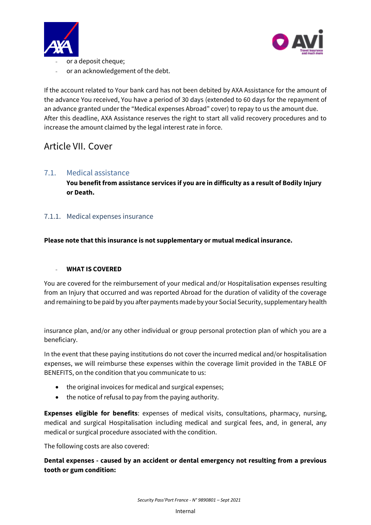



- $\overline{\phantom{a}}$ or a deposit cheque;
- or an acknowledgement of the debt.

If the account related to Your bank card has not been debited by AXA Assistance for the amount of the advance You received, You have a period of 30 days (extended to 60 days for the repayment of an advance granted under the "Medical expenses Abroad" cover) to repay to us the amount due. After this deadline, AXA Assistance reserves the right to start all valid recovery procedures and to increase the amount claimed by the legal interest rate in force.

# <span id="page-14-0"></span>Article VII. Cover

# <span id="page-14-1"></span>7.1. Medical assistance

**You benefit from assistance services if you are in difficulty as a result of Bodily Injury or Death.**

# <span id="page-14-2"></span>7.1.1. Medical expenses insurance

## **Please note that this insurance is not supplementary or mutual medical insurance.**

#### - **WHAT IS COVERED**

You are covered for the reimbursement of your medical and/or Hospitalisation expenses resulting from an Injury that occurred and was reported Abroad for the duration of validity of the coverage and remaining to be paid by you after payments made by your Social Security, supplementary health

insurance plan, and/or any other individual or group personal protection plan of which you are a beneficiary.

In the event that these paying institutions do not cover the incurred medical and/or hospitalisation expenses, we will reimburse these expenses within the coverage limit provided in the TABLE OF BENEFITS, on the condition that you communicate to us:

- the original invoices for medical and surgical expenses;
- the notice of refusal to pay from the paying authority.

**Expenses eligible for benefits**: expenses of medical visits, consultations, pharmacy, nursing, medical and surgical Hospitalisation including medical and surgical fees, and, in general, any medical or surgical procedure associated with the condition.

The following costs are also covered:

**Dental expenses - caused by an accident or dental emergency not resulting from a previous tooth or gum condition:**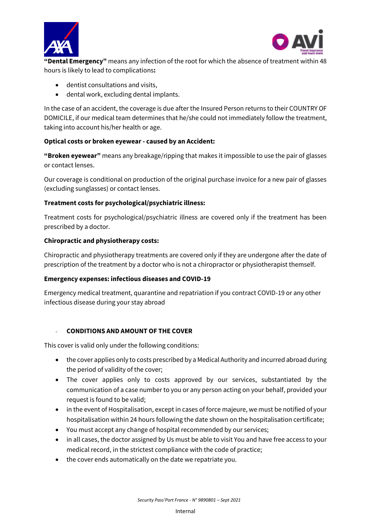



**"Dental Emergency"** means any infection of the root for which the absence of treatment within 48 hours is likely to lead to complications**:**

- dentist consultations and visits,
- dental work, excluding dental implants.

In the case of an accident, the coverage is due after the Insured Person returns to their COUNTRY OF DOMICILE, if our medical team determines that he/she could not immediately follow the treatment, taking into account his/her health or age.

# **Optical costs or broken eyewear - caused by an Accident:**

**"Broken eyewear"** means any breakage/ripping that makes it impossible to use the pair of glasses or contact lenses.

Our coverage is conditional on production of the original purchase invoice for a new pair of glasses (excluding sunglasses) or contact lenses.

# **Treatment costs for psychological/psychiatric illness:**

Treatment costs for psychological/psychiatric illness are covered only if the treatment has been prescribed by a doctor.

## **Chiropractic and physiotherapy costs:**

Chiropractic and physiotherapy treatments are covered only if they are undergone after the date of prescription of the treatment by a doctor who is not a chiropractor or physiotherapist themself.

#### **Emergency expenses: infectious diseases and COVID-19**

Emergency medical treatment, quarantine and repatriation if you contract COVID-19 or any other infectious disease during your stay abroad

#### - **CONDITIONS AND AMOUNT OF THE COVER**

This cover is valid only under the following conditions:

- the cover applies only to costs prescribed by a Medical Authority and incurred abroad during the period of validity of the cover;
- The cover applies only to costs approved by our services, substantiated by the communication of a case number to you or any person acting on your behalf, provided your request is found to be valid;
- in the event of Hospitalisation, except in cases of force majeure, we must be notified of your hospitalisation within 24 hours following the date shown on the hospitalisation certificate;
- You must accept any change of hospital recommended by our services;
- in all cases, the doctor assigned by Us must be able to visit You and have free access to your medical record, in the strictest compliance with the code of practice;
- the cover ends automatically on the date we repatriate you.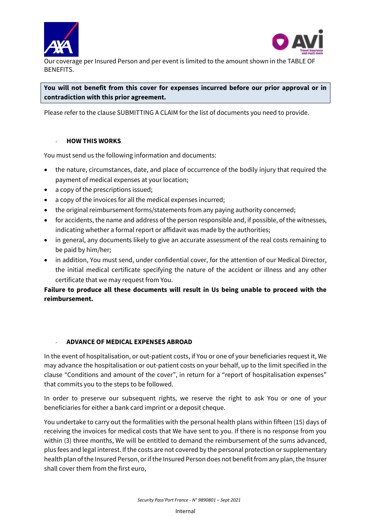



Our coverage per Insured Person and per event is limited to the amount shown in the TABLE OF BENEFITS.

# **You will not benefit from this cover for expenses incurred before our prior approval or in contradiction with this prior agreement.**

Please refer to the clause SUBMITTING A CLAIM for the list of documents you need to provide.

## - **HOW THIS WORKS**

You must send us the following information and documents:

- the nature, circumstances, date, and place of occurrence of the bodily injury that required the payment of medical expenses at your location;
- a copy of the prescriptions issued;
- a copy of the invoices for all the medical expenses incurred;
- the original reimbursement forms/statements from any paying authority concerned;
- for accidents, the name and address of the person responsible and, if possible, of the witnesses, indicating whether a formal report or affidavit was made by the authorities;
- in general, any documents likely to give an accurate assessment of the real costs remaining to be paid by him/her;
- in addition, You must send, under confidential cover, for the attention of our Medical Director, the initial medical certificate specifying the nature of the accident or illness and any other certificate that we may request from You.

**Failure to produce all these documents will result in Us being unable to proceed with the reimbursement.**

# - **ADVANCE OF MEDICAL EXPENSES ABROAD**

In the event of hospitalisation, or out-patient costs, if You or one of your beneficiaries request it, We may advance the hospitalisation or out-patient costs on your behalf, up to the limit specified in the clause "Conditions and amount of the cover", in return for a "report of hospitalisation expenses" that commits you to the steps to be followed.

In order to preserve our subsequent rights, we reserve the right to ask You or one of your beneficiaries for either a bank card imprint or a deposit cheque.

You undertake to carry out the formalities with the personal health plans within fifteen (15) days of receiving the invoices for medical costs that We have sent to you. If there is no response from you within (3) three months, We will be entitled to demand the reimbursement of the sums advanced, plus fees and legal interest. If the costs are not covered by the personal protection or supplementary health plan of the Insured Person, or if the Insured Person does not benefit from any plan, the Insurer shall cover them from the first euro,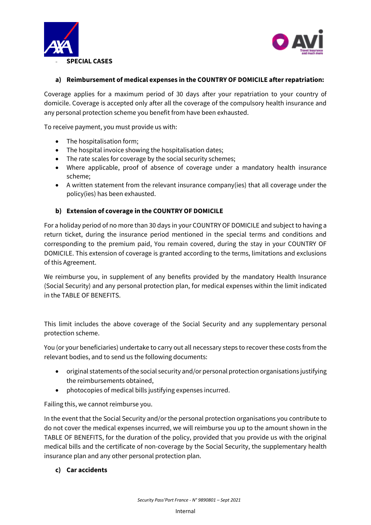



### **a) Reimbursement of medical expenses in the COUNTRY OF DOMICILE after repatriation:**

Coverage applies for a maximum period of 30 days after your repatriation to your country of domicile. Coverage is accepted only after all the coverage of the compulsory health insurance and any personal protection scheme you benefit from have been exhausted.

To receive payment, you must provide us with:

- The hospitalisation form;
- The hospital invoice showing the hospitalisation dates;
- The rate scales for coverage by the social security schemes;
- Where applicable, proof of absence of coverage under a mandatory health insurance scheme;
- A written statement from the relevant insurance company(ies) that all coverage under the policy(ies) has been exhausted.

## **b) Extension of coverage in the COUNTRY OF DOMICILE**

For a holiday period of no more than 30 days in your COUNTRY OF DOMICILE and subject to having a return ticket, during the insurance period mentioned in the special terms and conditions and corresponding to the premium paid, You remain covered, during the stay in your COUNTRY OF DOMICILE. This extension of coverage is granted according to the terms, limitations and exclusions of this Agreement.

We reimburse you, in supplement of any benefits provided by the mandatory Health Insurance (Social Security) and any personal protection plan, for medical expenses within the limit indicated in the TABLE OF BENEFITS.

This limit includes the above coverage of the Social Security and any supplementary personal protection scheme.

You (or your beneficiaries) undertake to carry out all necessary steps to recover these costs from the relevant bodies, and to send us the following documents:

- original statements of the social security and/or personal protection organisations justifying the reimbursements obtained,
- photocopies of medical bills justifying expenses incurred.

Failing this, we cannot reimburse you.

In the event that the Social Security and/or the personal protection organisations you contribute to do not cover the medical expenses incurred, we will reimburse you up to the amount shown in the TABLE OF BENEFITS, for the duration of the policy, provided that you provide us with the original medical bills and the certificate of non-coverage by the Social Security, the supplementary health insurance plan and any other personal protection plan.

#### **c) Car accidents**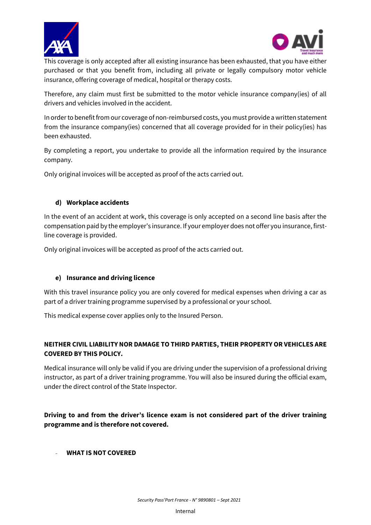



 $\overline{\phantom{a}}$ This coverage is only accepted after all existing insurance has been exhausted, that you have either purchased or that you benefit from, including all private or legally compulsory motor vehicle insurance, offering coverage of medical, hospital or therapy costs.

Therefore, any claim must first be submitted to the motor vehicle insurance company(ies) of all drivers and vehicles involved in the accident.

In order to benefit from our coverage of non-reimbursed costs, you must provide a written statement from the insurance company(ies) concerned that all coverage provided for in their policy(ies) has been exhausted.

By completing a report, you undertake to provide all the information required by the insurance company.

Only original invoices will be accepted as proof of the acts carried out.

## **d) Workplace accidents**

In the event of an accident at work, this coverage is only accepted on a second line basis after the compensation paid by the employer's insurance. If your employer does not offer you insurance, firstline coverage is provided.

Only original invoices will be accepted as proof of the acts carried out.

# **e) Insurance and driving licence**

With this travel insurance policy you are only covered for medical expenses when driving a car as part of a driver training programme supervised by a professional or your school.

This medical expense cover applies only to the Insured Person.

# **NEITHER CIVIL LIABILITY NOR DAMAGE TO THIRD PARTIES, THEIR PROPERTY OR VEHICLES ARE COVERED BY THIS POLICY.**

Medical insurance will only be valid if you are driving under the supervision of a professional driving instructor, as part of a driver training programme. You will also be insured during the official exam, under the direct control of the State Inspector.

**Driving to and from the driver's licence exam is not considered part of the driver training programme and is therefore not covered.**

#### - **WHAT IS NOT COVERED**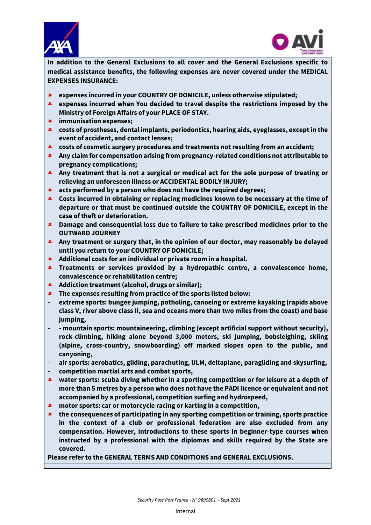



**In addition to the General Exclusions to all cover and the General Exclusions specific to medical assistance benefits, the following expenses are never covered under the MEDICAL EXPENSES INSURANCE:**

- **expenses incurred in your COUNTRY OF DOMICILE, unless otherwise stipulated;**
- **expenses incurred when You decided to travel despite the restrictions imposed by the Ministry of Foreign Affairs of your PLACE OF STAY.**
- **immunisation expenses;**
- **costs of prostheses, dental implants, periodontics, hearing aids, eyeglasses, except in the event of accident, and contact lenses;**
- **costs of cosmetic surgery procedures and treatments not resulting from an accident;**
- **Any claim for compensation arising from pregnancy-related conditions not attributable to pregnancy complications;**
- **Any treatment that is not a surgical or medical act for the sole purpose of treating or relieving an unforeseen illness or ACCIDENTAL BODILY INJURY;**
- **acts performed by a person who does not have the required degrees;**
- **Costs incurred in obtaining or replacing medicines known to be necessary at the time of departure or that must be continued outside the COUNTRY OF DOMICILE, except in the case of theft or deterioration.**
- **Damage and consequential loss due to failure to take prescribed medicines prior to the OUTWARD JOURNEY**
- **Any treatment or surgery that, in the opinion of our doctor, may reasonably be delayed until you return to your COUNTRY OF DOMICILE;**
- **Additional costs for an individual or private room in a hospital.**
- **Treatments or services provided by a hydropathic centre, a convalescence home, convalescence or rehabilitation centre;**
- **Addiction treatment (alcohol, drugs or similar);**
- **The expenses resulting from practice of the sports listed below:**
- **extreme sports: bungee jumping, potholing, canoeing or extreme kayaking (rapids above class V, river above class II, sea and oceans more than two miles from the coast) and base jumping,**
- **- mountain sports: mountaineering, climbing (except artificial support without security), rock-climbing, hiking alone beyond 3,000 meters, ski jumping, bobsleighing, skiing (alpine, cross-country, snowboarding) off marked slopes open to the public, and canyoning,**
- **air sports: aerobatics, gliding, parachuting, ULM, deltaplane, paragliding and skysurfing,**
- **competition martial arts and combat sports,**
- **water sports: scuba diving whether in a sporting competition or for leisure at a depth of more than 5 metres by a person who does not have the PADI licence or equivalent and not accompanied by a professional, competition surfing and hydrospeed,**
- **motor sports: car or motorcycle racing or karting in a competition,**
- **the consequences of participating in any sporting competition or training, sports practice in the context of a club or professional federation are also excluded from any compensation. However, introductions to these sports in beginner-type courses when instructed by a professional with the diplomas and skills required by the State are covered.**

**Please refer to the GENERAL TERMS AND CONDITIONS and GENERAL EXCLUSIONS.**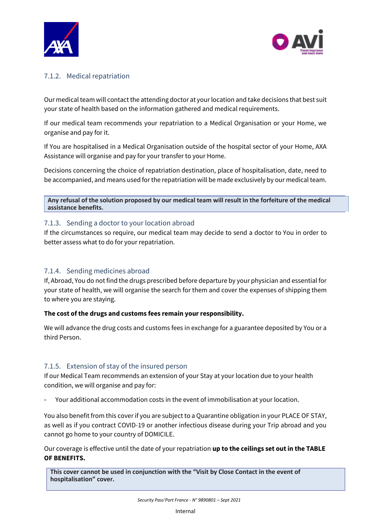



# <span id="page-20-0"></span>7.1.2. Medical repatriation

Our medical team will contact the attending doctor at your location and take decisions that best suit your state of health based on the information gathered and medical requirements.

If our medical team recommends your repatriation to a Medical Organisation or your Home, we organise and pay for it.

If You are hospitalised in a Medical Organisation outside of the hospital sector of your Home, AXA Assistance will organise and pay for your transfer to your Home.

Decisions concerning the choice of repatriation destination, place of hospitalisation, date, need to be accompanied, and means used for the repatriation will be made exclusively by our medical team.

**Any refusal of the solution proposed by our medical team will result in the forfeiture of the medical assistance benefits.**

# <span id="page-20-1"></span>7.1.3. Sending a doctor to your location abroad

If the circumstances so require, our medical team may decide to send a doctor to You in order to better assess what to do for your repatriation.

# <span id="page-20-2"></span>7.1.4. Sending medicines abroad

If, Abroad, You do not find the drugs prescribed before departure by your physician and essential for your state of health, we will organise the search for them and cover the expenses of shipping them to where you are staying.

# **The cost of the drugs and customs fees remain your responsibility.**

We will advance the drug costs and customs fees in exchange for a guarantee deposited by You or a third Person.

# <span id="page-20-3"></span>7.1.5. Extension of stay of the insured person

If our Medical Team recommends an extension of your Stay at your location due to your health condition, we will organise and pay for:

Your additional accommodation costs in the event of immobilisation at your location.

You also benefit from this cover if you are subject to a Quarantine obligation in your PLACE OF STAY, as well as if you contract COVID-19 or another infectious disease during your Trip abroad and you cannot go home to your country of DOMICILE.

Our coverage is effective until the date of your repatriation **up to the ceilings set out in the TABLE OF BENEFITS.**

**This cover cannot be used in conjunction with the "Visit by Close Contact in the event of hospitalisation" cover.**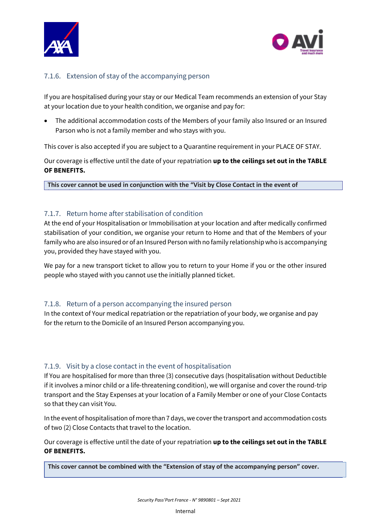



# <span id="page-21-0"></span>7.1.6. Extension of stay of the accompanying person

If you are hospitalised during your stay or our Medical Team recommends an extension of your Stay at your location due to your health condition, we organise and pay for:

• The additional accommodation costs of the Members of your family also Insured or an Insured Parson who is not a family member and who stays with you.

This cover is also accepted if you are subject to a Quarantine requirement in your PLACE OF STAY.

Our coverage is effective until the date of your repatriation **up to the ceilings set out in the TABLE OF BENEFITS.**

**This cover cannot be used in conjunction with the "Visit by Close Contact in the event of** 

# <span id="page-21-1"></span>7.1.7. Return home after stabilisation of condition

**hospitalisation" cover.**

At the end of your Hospitalisation or Immobilisation at your location and after medically confirmed stabilisation of your condition, we organise your return to Home and that of the Members of your family who are also insured or of an Insured Person with no family relationship who is accompanying you, provided they have stayed with you.

We pay for a new transport ticket to allow you to return to your Home if you or the other insured people who stayed with you cannot use the initially planned ticket.

# <span id="page-21-2"></span>7.1.8. Return of a person accompanying the insured person

In the context of Your medical repatriation or the repatriation of your body, we organise and pay for the return to the Domicile of an Insured Person accompanying you.

# <span id="page-21-3"></span>7.1.9. Visit by a close contact in the event of hospitalisation

If You are hospitalised for more than three (3) consecutive days (hospitalisation without Deductible if it involves a minor child or a life-threatening condition), we will organise and cover the round-trip transport and the Stay Expenses at your location of a Family Member or one of your Close Contacts so that they can visit You.

In the event of hospitalisation of more than 7 days, we cover the transport and accommodation costs of two (2) Close Contacts that travel to the location.

Our coverage is effective until the date of your repatriation **up to the ceilings set out in the TABLE OF BENEFITS.**

**This cover cannot be combined with the "Extension of stay of the accompanying person" cover.**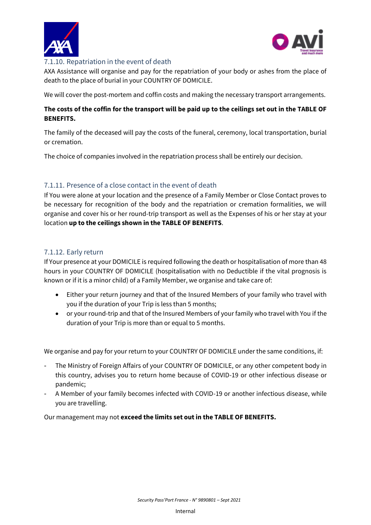



#### <span id="page-22-0"></span> $\overline{\phantom{a}}$ 7.1.10. Repatriation in the event of death

AXA Assistance will organise and pay for the repatriation of your body or ashes from the place of death to the place of burial in your COUNTRY OF DOMICILE.

We will cover the post-mortem and coffin costs and making the necessary transport arrangements.

## **The costs of the coffin for the transport will be paid up to the ceilings set out in the TABLE OF BENEFITS.**

The family of the deceased will pay the costs of the funeral, ceremony, local transportation, burial or cremation.

The choice of companies involved in the repatriation process shall be entirely our decision.

# <span id="page-22-1"></span>7.1.11. Presence of a close contact in the event of death

If You were alone at your location and the presence of a Family Member or Close Contact proves to be necessary for recognition of the body and the repatriation or cremation formalities, we will organise and cover his or her round-trip transport as well as the Expenses of his or her stay at your location **up to the ceilings shown in the TABLE OF BENEFITS**.

# <span id="page-22-2"></span>7.1.12. Early return

If Your presence at your DOMICILE is required following the death or hospitalisation of more than 48 hours in your COUNTRY OF DOMICILE (hospitalisation with no Deductible if the vital prognosis is known or if it is a minor child) of a Family Member, we organise and take care of:

- Either your return journey and that of the Insured Members of your family who travel with you if the duration of your Trip is less than 5 months;
- or your round-trip and that of the Insured Members of your family who travel with You if the duration of your Trip is more than or equal to 5 months.

We organise and pay for your return to your COUNTRY OF DOMICILE under the same conditions, if:

- The Ministry of Foreign Affairs of your COUNTRY OF DOMICILE, or any other competent body in this country, advises you to return home because of COVID-19 or other infectious disease or pandemic;
- A Member of your family becomes infected with COVID-19 or another infectious disease, while you are travelling.

Our management may not **exceed the limits set out in the TABLE OF BENEFITS.**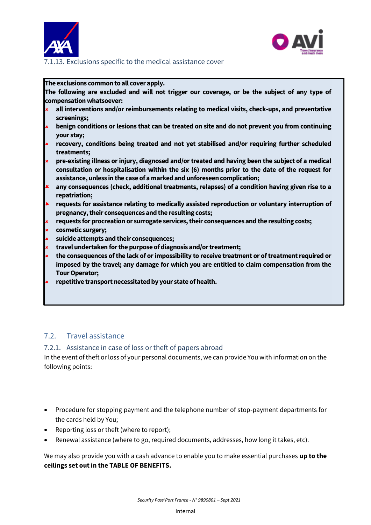



#### <span id="page-23-0"></span> $\overline{\phantom{a}}$ 7.1.13. Exclusions specific to the medical assistance cover

#### **The exclusions common to all cover apply.**

**The following are excluded and will not trigger our coverage, or be the subject of any type of compensation whatsoever:**

- **all interventions and/or reimbursements relating to medical visits, check-ups, and preventative screenings;**
- **benign conditions or lesions that can be treated on site and do not prevent you from continuing your stay;**
- **recovery, conditions being treated and not yet stabilised and/or requiring further scheduled treatments;**
- **pre-existing illness or injury, diagnosed and/or treated and having been the subject of a medical consultation or hospitalisation within the six (6) months prior to the date of the request for assistance, unless in the case of a marked and unforeseen complication;**
- **any consequences (check, additional treatments, relapses) of a condition having given rise to a repatriation;**
- **requests for assistance relating to medically assisted reproduction or voluntary interruption of pregnancy, their consequences and the resulting costs;**
- **requests for procreation or surrogate services, their consequences and the resulting costs;**
- **cosmetic surgery;**
- **suicide attempts and their consequences;**
- **travel undertaken for the purpose of diagnosis and/or treatment;**
- **the consequences of the lack of or impossibility to receive treatment or of treatment required or imposed by the travel; any damage for which you are entitled to claim compensation from the Tour Operator;**
- **repetitive transport necessitated by your state of health.**

# <span id="page-23-1"></span>7.2. Travel assistance

#### <span id="page-23-2"></span>7.2.1. Assistance in case of loss or theft of papers abroad

In the event of theft or loss of your personal documents, we can provide You with information on the following points:

- Procedure for stopping payment and the telephone number of stop-payment departments for the cards held by You;
- Reporting loss or theft (where to report);
- Renewal assistance (where to go, required documents, addresses, how long it takes, etc).

We may also provide you with a cash advance to enable you to make essential purchases **up to the ceilings set out in the TABLE OF BENEFITS.**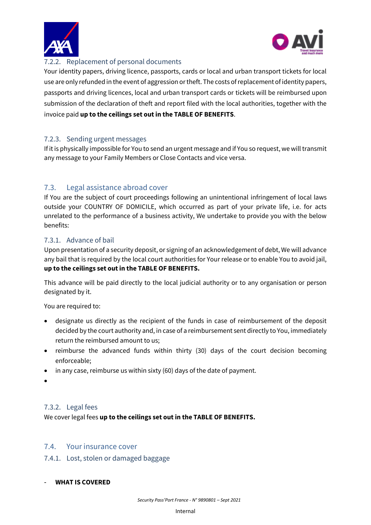



#### <span id="page-24-0"></span> $\overline{\phantom{a}}$ 7.2.2. Replacement of personal documents

Your identity papers, driving licence, passports, cards or local and urban transport tickets for local use are only refunded in the event of aggression or theft. The costs of replacement of identity papers, passports and driving licences, local and urban transport cards or tickets will be reimbursed upon submission of the declaration of theft and report filed with the local authorities, together with the invoice paid **up to the ceilings set out in the TABLE OF BENEFITS**.

# <span id="page-24-1"></span>7.2.3. Sending urgent messages

If it is physically impossible for You to send an urgent message and if You so request, we will transmit any message to your Family Members or Close Contacts and vice versa.

# <span id="page-24-2"></span>7.3. Legal assistance abroad cover

If You are the subject of court proceedings following an unintentional infringement of local laws outside your COUNTRY OF DOMICILE, which occurred as part of your private life, i.e. for acts unrelated to the performance of a business activity, We undertake to provide you with the below benefits:

# <span id="page-24-3"></span>7.3.1. Advance of bail

Upon presentation of a security deposit, or signing of an acknowledgement of debt, We will advance any bail that is required by the local court authorities for Your release or to enable You to avoid jail, **up to the ceilings set out in the TABLE OF BENEFITS.**

This advance will be paid directly to the local judicial authority or to any organisation or person designated by it.

You are required to:

- designate us directly as the recipient of the funds in case of reimbursement of the deposit decided by the court authority and, in case of a reimbursement sent directly to You, immediately return the reimbursed amount to us;
- reimburse the advanced funds within thirty (30) days of the court decision becoming enforceable;
- in any case, reimburse us within sixty (60) days of the date of payment.
- •

# <span id="page-24-4"></span>7.3.2. Legal fees

We cover legal fees **up to the ceilings set out in the TABLE OF BENEFITS.**

# <span id="page-24-5"></span>7.4. Your insurance cover

<span id="page-24-6"></span>7.4.1. Lost, stolen or damaged baggage

#### - **WHAT IS COVERED**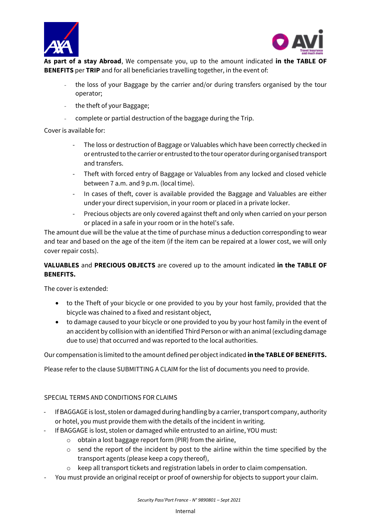



**As part of a stay Abroad**, We compensate you, up to the amount indicated **in the TABLE OF BENEFITS** per **TRIP** and for all beneficiaries travelling together, in the event of:

- the loss of your Baggage by the carrier and/or during transfers organised by the tour operator;
- the theft of your Baggage;
- complete or partial destruction of the baggage during the Trip.

Cover is available for:

- The loss or destruction of Baggage or Valuables which have been correctly checked in or entrusted to the carrier or entrusted to the tour operator during organised transport and transfers.
- Theft with forced entry of Baggage or Valuables from any locked and closed vehicle between 7 a.m. and 9 p.m. (local time).
- In cases of theft, cover is available provided the Baggage and Valuables are either under your direct supervision, in your room or placed in a private locker.
- Precious objects are only covered against theft and only when carried on your person or placed in a safe in your room or in the hotel's safe.

The amount due will be the value at the time of purchase minus a deduction corresponding to wear and tear and based on the age of the item (if the item can be repaired at a lower cost, we will only cover repair costs).

# **VALUABLES** and **PRECIOUS OBJECTS** are covered up to the amount indicated **in the TABLE OF BENEFITS.**

The cover is extended:

- to the Theft of your bicycle or one provided to you by your host family, provided that the bicycle was chained to a fixed and resistant object,
- to damage caused to your bicycle or one provided to you by your host family in the event of an accident by collision with an identified Third Person or with an animal (excluding damage due to use) that occurred and was reported to the local authorities.

Our compensation is limited to the amount defined per object indicated **in the TABLE OF BENEFITS.**

Please refer to the clause SUBMITTING A CLAIM for the list of documents you need to provide.

# SPECIAL TERMS AND CONDITIONS FOR CLAIMS

- If BAGGAGE is lost, stolen or damaged during handling by a carrier, transport company, authority or hotel, you must provide them with the details of the incident in writing.
- If BAGGAGE is lost, stolen or damaged while entrusted to an airline, YOU must:
	- $\circ$  obtain a lost baggage report form (PIR) from the airline,
	- $\circ$  send the report of the incident by post to the airline within the time specified by the transport agents (please keep a copy thereof),
	- o keep all transport tickets and registration labels in order to claim compensation.
- You must provide an original receipt or proof of ownership for objects to support your claim.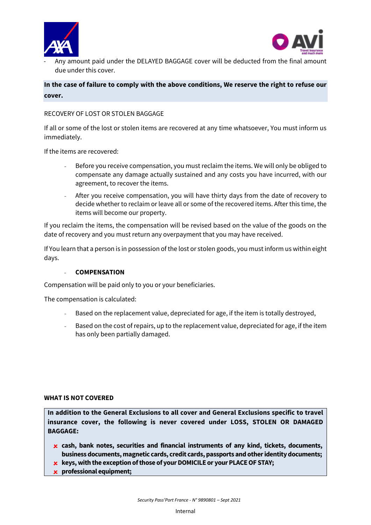



- Any amount paid under the DELAYED BAGGAGE cover will be deducted from the final amount due under this cover.

**In the case of failure to comply with the above conditions, We reserve the right to refuse our cover.**

#### RECOVERY OF LOST OR STOLEN BAGGAGE

If all or some of the lost or stolen items are recovered at any time whatsoever, You must inform us immediately.

If the items are recovered:

- Before you receive compensation, you must reclaim the items. We will only be obliged to compensate any damage actually sustained and any costs you have incurred, with our agreement, to recover the items.
- After you receive compensation, you will have thirty days from the date of recovery to decide whether to reclaim or leave all or some of the recovered items. After this time, the items will become our property.

If you reclaim the items, the compensation will be revised based on the value of the goods on the date of recovery and you must return any overpayment that you may have received.

If You learn that a person is in possession of the lost or stolen goods, you must inform us within eight days.

#### - **COMPENSATION**

Compensation will be paid only to you or your beneficiaries.

The compensation is calculated:

- Based on the replacement value, depreciated for age, if the item is totally destroyed,
- Based on the cost of repairs, up to the replacement value, depreciated for age, if the item has only been partially damaged.

#### **WHAT IS NOT COVERED**

**In addition to the General Exclusions to all cover and General Exclusions specific to travel insurance cover, the following is never covered under LOSS, STOLEN OR DAMAGED BAGGAGE:** 

 **cash, bank notes, securities and financial instruments of any kind, tickets, documents, business documents, magnetic cards, credit cards, passports and other identity documents;**

**k** keys, with the exception of those of your DOMICILE or your PLACE OF STAY;

**professional equipment;**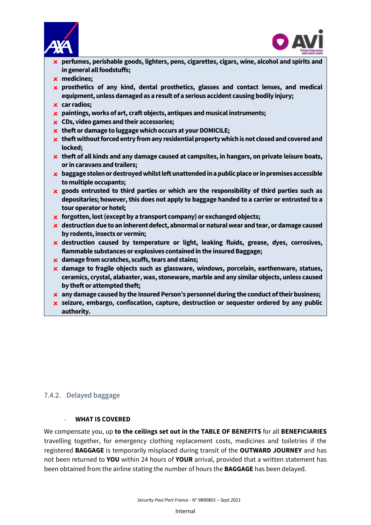



- **perfumes, perishable goods, lighters, pens, cigarettes, cigars, wine, alcohol and spirits and in general all foodstuffs;**
- **medicines;**
- **prosthetics of any kind, dental prosthetics, glasses and contact lenses, and medical equipment, unless damaged as a result of a serious accident causing bodily injury;**
- **car radios;**
- **paintings, works of art, craft objects, antiques and musical instruments;**
- **CDs, video games and their accessories;**
- **theft or damage to luggage which occurs at your DOMICILE;**
- **theft without forced entry from any residential property which is not closed and covered and locked;**
- **theft of all kinds and any damage caused at campsites, in hangars, on private leisure boats, or in caravans and trailers;**
- **baggage stolen or destroyed whilst left unattended in a public place or in premises accessible to multiple occupants;**
- **goods entrusted to third parties or which are the responsibility of third parties such as depositaries; however, this does not apply to baggage handed to a carrier or entrusted to a tour operator or hotel;**
- **forgotten, lost (except by a transport company) or exchanged objects;**
- **destruction due to an inherent defect, abnormal or natural wear and tear, or damage caused by rodents, insects or vermin;**
- **destruction caused by temperature or light, leaking fluids, grease, dyes, corrosives, flammable substances or explosives contained in the insured Baggage;**
- **damage from scratches, scuffs, tears and stains;**
- **damage to fragile objects such as glassware, windows, porcelain, earthenware, statues, ceramics, crystal, alabaster, wax, stoneware, marble and any similar objects, unless caused by theft or attempted theft;**
- **any damage caused by the Insured Person's personnel during the conduct of their business;**
- **seizure, embargo, confiscation, capture, destruction or sequester ordered by any public authority.**

# <span id="page-27-0"></span>7.4.2. Delayed baggage

#### - **WHAT IS COVERED**

<span id="page-27-1"></span>We compensate you, up **to the ceilings set out in the TABLE OF BENEFITS** for all **BENEFICIARIES**  travelling together, for emergency clothing replacement costs, medicines and toiletries if the registered **BAGGAGE** is temporarily misplaced during transit of the **OUTWARD JOURNEY** and has not been returned to **YOU** within 24 hours of **YOUR** arrival, provided that a written statement has been obtained from the airline stating the number of hours the **BAGGAGE** has been delayed.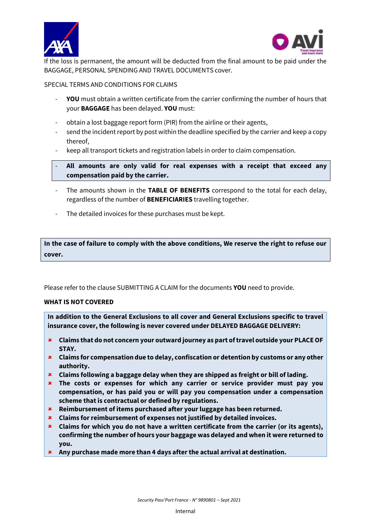



If the loss is permanent, the amount will be deducted from the final amount to be paid under the BAGGAGE, PERSONAL SPENDING AND TRAVEL DOCUMENTS cover.

SPECIAL TERMS AND CONDITIONS FOR CLAIMS

- **YOU** must obtain a written certificate from the carrier confirming the number of hours that your **BAGGAGE** has been delayed. **YOU** must:
- obtain a lost baggage report form (PIR) from the airline or their agents,
- send the incident report by post within the deadline specified by the carrier and keep a copy thereof,
- keep all transport tickets and registration labels in order to claim compensation.
- **All amounts are only valid for real expenses with a receipt that exceed any compensation paid by the carrier.**
- The amounts shown in the TABLE OF BENEFITS correspond to the total for each delay, regardless of the number of **BENEFICIARIES** travelling together.
- The detailed invoices for these purchases must be kept.

**In the case of failure to comply with the above conditions, We reserve the right to refuse our cover.**

Please refer to the clause SUBMITTING A CLAIM for the documents **YOU** need to provide.

#### **WHAT IS NOT COVERED**

**In addition to the General Exclusions to all cover and General Exclusions specific to travel insurance cover, the following is never covered under DELAYED BAGGAGE DELIVERY:**

- **Claims that do not concern your outward journey as part of travel outside your PLACE OF STAY.**
- **Claims for compensation due to delay, confiscation or detention by customs or any other authority.**
- **Claims following a baggage delay when they are shipped as freight or bill of lading.**
- **The costs or expenses for which any carrier or service provider must pay you compensation, or has paid you or will pay you compensation under a compensation scheme that is contractual or defined by regulations.**
- **Reimbursement of items purchased after your luggage has been returned.**
- **Claims for reimbursement of expenses not justified by detailed invoices.**
- **Claims for which you do not have a written certificate from the carrier (or its agents), confirming the number of hours your baggage was delayed and when it were returned to you.**
- **Any purchase made more than 4 days after the actual arrival at destination.**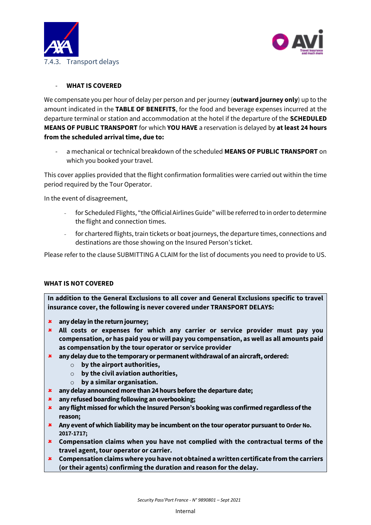



### <span id="page-29-0"></span>- **WHAT IS COVERED**

We compensate you per hour of delay per person and per journey (**outward journey only**) up to the amount indicated in the **TABLE OF BENEFITS**, for the food and beverage expenses incurred at the departure terminal or station and accommodation at the hotel if the departure of the **SCHEDULED MEANS OF PUBLIC TRANSPORT** for which **YOU HAVE** a reservation is delayed by **at least 24 hours from the scheduled arrival time, due to:**

- a mechanical or technical breakdown of the scheduled **MEANS OF PUBLIC TRANSPORT** on which you booked your travel.

This cover applies provided that the flight confirmation formalities were carried out within the time period required by the Tour Operator.

In the event of disagreement,

- for Scheduled Flights, "the Official Airlines Guide" will be referred to in order to determine the flight and connection times.
- for chartered flights, train tickets or boat journeys, the departure times, connections and destinations are those showing on the Insured Person's ticket.

Please refer to the clause SUBMITTING A CLAIM for the list of documents you need to provide to US.

#### **WHAT IS NOT COVERED**

**In addition to the General Exclusions to all cover and General Exclusions specific to travel insurance cover, the following is never covered under TRANSPORT DELAYS:**

- **any delay in the return journey;**
- **All costs or expenses for which any carrier or service provider must pay you compensation, or has paid you or will pay you compensation, as well as all amounts paid as compensation by the tour operator or service provider**
- **any delay due to the temporary or permanent withdrawal of an aircraft, ordered:**
	- o **by the airport authorities,**
	- o **by the civil aviation authorities,**
	- o **by a similar organisation.**
- **any delay announced more than 24 hours before the departure date;**
- **any refused boarding following an overbooking;**
- **any flight missed for which the Insured Person's booking was confirmed regardless of the reason;**
- **Any event of which liability may be incumbent on the tour operator pursuant to Order No. 2017-1717;**
- **Compensation claims when you have not complied with the contractual terms of the travel agent, tour operator or carrier.**
- **Compensation claims where you have not obtained a written certificate from the carriers (or their agents) confirming the duration and reason for the delay.**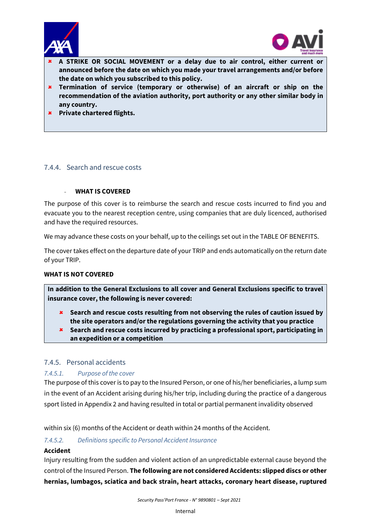



- $\overline{\phantom{a}}$  **A STRIKE OR SOCIAL MOVEMENT or a delay due to air control, either current or announced before the date on which you made your travel arrangements and/or before the date on which you subscribed to this policy.**
- **Termination of service (temporary or otherwise) of an aircraft or ship on the recommendation of the aviation authority, port authority or any other similar body in any country.**
- **Private chartered flights.**

## <span id="page-30-0"></span>7.4.4. Search and rescue costs

#### - **WHAT IS COVERED**

The purpose of this cover is to reimburse the search and rescue costs incurred to find you and evacuate you to the nearest reception centre, using companies that are duly licenced, authorised and have the required resources.

We may advance these costs on your behalf, up to the ceilings set out in the TABLE OF BENEFITS.

The cover takes effect on the departure date of your TRIP and ends automatically on the return date of your TRIP.

#### **WHAT IS NOT COVERED**

**In addition to the General Exclusions to all cover and General Exclusions specific to travel insurance cover, the following is never covered:**

- **Search and rescue costs resulting from not observing the rules of caution issued by the site operators and/or the regulations governing the activity that you practice**
- **Search and rescue costs incurred by practicing a professional sport, participating in an expedition or a competition**

#### <span id="page-30-1"></span>7.4.5. Personal accidents

#### *7.4.5.1. Purpose of the cover*

The purpose of this cover is to pay to the Insured Person, or one of his/her beneficiaries, a lump sum in the event of an Accident arising during his/her trip, including during the practice of a dangerous sport listed in Appendix 2 and having resulted in total or partial permanent invalidity observed

within six (6) months of the Accident or death within 24 months of the Accident.

#### *7.4.5.2. Definitions specific to Personal Accident Insurance*

#### **Accident**

Injury resulting from the sudden and violent action of an unpredictable external cause beyond the control of the Insured Person. **The following are not considered Accidents: slipped discs or other hernias, lumbagos, sciatica and back strain, heart attacks, coronary heart disease, ruptured**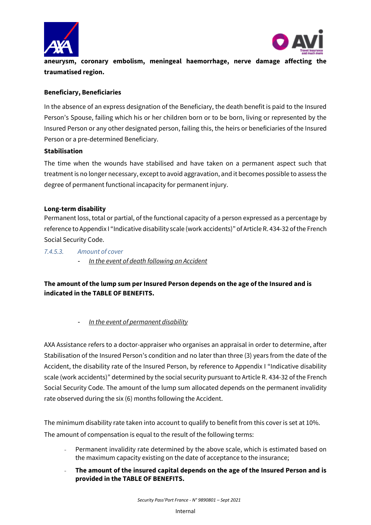



**aneurysm, coronary embolism, meningeal haemorrhage, nerve damage affecting the traumatised region.** 

## **Beneficiary, Beneficiaries**

In the absence of an express designation of the Beneficiary, the death benefit is paid to the Insured Person's Spouse, failing which his or her children born or to be born, living or represented by the Insured Person or any other designated person, failing this, the heirs or beneficiaries of the Insured Person or a pre-determined Beneficiary.

#### **Stabilisation**

The time when the wounds have stabilised and have taken on a permanent aspect such that treatment is no longer necessary, except to avoid aggravation, and it becomes possible to assess the degree of permanent functional incapacity for permanent injury.

#### **Long-term disability**

Permanent loss, total or partial, of the functional capacity of a person expressed as a percentage by reference to Appendix I "Indicative disability scale (work accidents)" of Article R. 434-32 of the French Social Security Code.

*7.4.5.3. Amount of cover*  - *In the event of death following an Accident* 

# **The amount of the lump sum per Insured Person depends on the age of the Insured and is indicated in the TABLE OF BENEFITS.**

- *In the event of permanent disability* 

AXA Assistance refers to a doctor-appraiser who organises an appraisal in order to determine, after Stabilisation of the Insured Person's condition and no later than three (3) years from the date of the Accident, the disability rate of the Insured Person, by reference to Appendix I "Indicative disability scale (work accidents)" determined by the social security pursuant to Article R. 434-32 of the French Social Security Code. The amount of the lump sum allocated depends on the permanent invalidity rate observed during the six (6) months following the Accident.

The minimum disability rate taken into account to qualify to benefit from this cover is set at 10%. The amount of compensation is equal to the result of the following terms:

- Permanent invalidity rate determined by the above scale, which is estimated based on the maximum capacity existing on the date of acceptance to the insurance;
- **The amount of the insured capital depends on the age of the Insured Person and is provided in the TABLE OF BENEFITS.**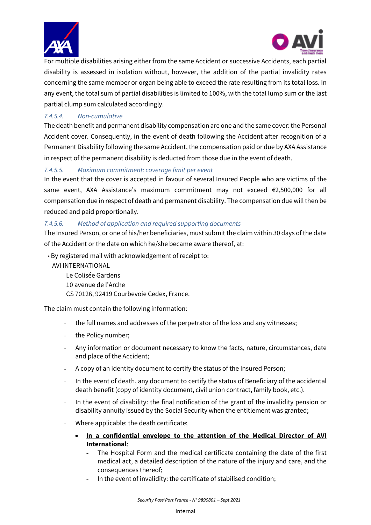



For multiple disabilities arising either from the same Accident or successive Accidents, each partial disability is assessed in isolation without, however, the addition of the partial invalidity rates concerning the same member or organ being able to exceed the rate resulting from its total loss. In any event, the total sum of partial disabilities is limited to 100%, with the total lump sum or the last partial clump sum calculated accordingly.

# *7.4.5.4. Non-cumulative*

The death benefit and permanent disability compensation are one and the same cover: the Personal Accident cover. Consequently, in the event of death following the Accident after recognition of a Permanent Disability following the same Accident, the compensation paid or due by AXA Assistance in respect of the permanent disability is deducted from those due in the event of death.

# *7.4.5.5. Maximum commitment: coverage limit per event*

In the event that the cover is accepted in favour of several Insured People who are victims of the same event, AXA Assistance's maximum commitment may not exceed €2,500,000 for all compensation due in respect of death and permanent disability. The compensation due will then be reduced and paid proportionally.

# *7.4.5.6. Method of application and required supporting documents*

The Insured Person, or one of his/her beneficiaries, must submit the claim within 30 days of the date of the Accident or the date on which he/she became aware thereof, at:

• By registered mail with acknowledgement of receipt to:

AVI INTERNATIONAL

Le Colisée Gardens 10 avenue de l'Arche CS 70126, 92419 Courbevoie Cedex, France.

The claim must contain the following information:

- the full names and addresses of the perpetrator of the loss and any witnesses;
- the Policy number;
- Any information or document necessary to know the facts, nature, circumstances, date and place of the Accident;
- A copy of an identity document to certify the status of the Insured Person;
- In the event of death, any document to certify the status of Beneficiary of the accidental death benefit (copy of identity document, civil union contract, family book, etc.).
- In the event of disability: the final notification of the grant of the invalidity pension or disability annuity issued by the Social Security when the entitlement was granted;
- Where applicable: the death certificate;
	- **In a confidential envelope to the attention of the Medical Director of AVI International**:
		- The Hospital Form and the medical certificate containing the date of the first medical act, a detailed description of the nature of the injury and care, and the consequences thereof;
		- In the event of invalidity: the certificate of stabilised condition;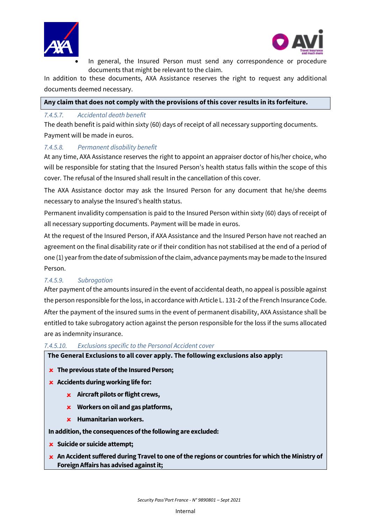



In general, the Insured Person must send any correspondence or procedure documents that might be relevant to the claim.

In addition to these documents, AXA Assistance reserves the right to request any additional documents deemed necessary.

#### **Any claim that does not comply with the provisions of this cover results in its forfeiture.**

#### *7.4.5.7. Accidental death benefit*

The death benefit is paid within sixty (60) days of receipt of all necessary supporting documents. Payment will be made in euros.

## *7.4.5.8. Permanent disability benefit*

At any time, AXA Assistance reserves the right to appoint an appraiser doctor of his/her choice, who will be responsible for stating that the Insured Person's health status falls within the scope of this cover. The refusal of the Insured shall result in the cancellation of this cover.

The AXA Assistance doctor may ask the Insured Person for any document that he/she deems necessary to analyse the Insured's health status.

Permanent invalidity compensation is paid to the Insured Person within sixty (60) days of receipt of all necessary supporting documents. Payment will be made in euros.

At the request of the Insured Person, if AXA Assistance and the Insured Person have not reached an agreement on the final disability rate or if their condition has not stabilised at the end of a period of one (1) year from the date of submission of the claim, advance payments may be made to the Insured Person.

# *7.4.5.9. Subrogation*

After payment of the amounts insured in the event of accidental death, no appeal is possible against the person responsible for the loss, in accordance with Article L. 131-2 of the French Insurance Code.

After the payment of the insured sums in the event of permanent disability, AXA Assistance shall be entitled to take subrogatory action against the person responsible for the loss if the sums allocated are as indemnity insurance.

#### *7.4.5.10. Exclusions specific to the Personal Accident cover*

**The General Exclusions to all cover apply. The following exclusions also apply:** 

- **The previous state of the Insured Person;**
- **Accidents during working life for:** 
	- **Aircraft pilots or flight crews,**
	- **Workers on oil and gas platforms,**
	- **Humanitarian workers.**

#### **In addition, the consequences of the following are excluded:**

- **Suicide or suicide attempt;**
- **An Accident suffered during Travel to one of the regions or countries for which the Ministry of Foreign Affairs has advised against it;**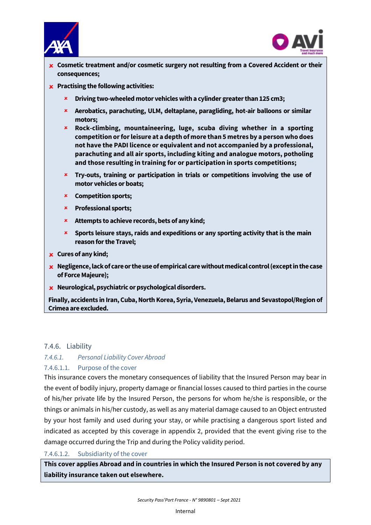



- **Cosmetic treatment and/or cosmetic surgery not resulting from a Covered Accident or their consequences;**
- **Practising the following activities:** 
	- **Driving two-wheeled motor vehicles with a cylinder greater than 125 cm3;**
	- **Aerobatics, parachuting, ULM, deltaplane, paragliding, hot-air balloons or similar motors;**
	- **Rock-climbing, mountaineering, luge, scuba diving whether in a sporting competition or for leisure at a depth of more than 5 metres by a person who does not have the PADI licence or equivalent and not accompanied by a professional, parachuting and all air sports, including kiting and analogue motors, potholing and those resulting in training for or participation in sports competitions;**
	- **Try-outs, training or participation in trials or competitions involving the use of motor vehicles or boats;**
	- **Competition sports;**
	- **Professional sports;**
	- **Attempts to achieve records, bets of any kind;**
	- **Sports leisure stays, raids and expeditions or any sporting activity that is the main reason for the Travel;**
- **Cures of any kind;**
- **Negligence, lack of care or the use of empirical care without medical control (except in the case of Force Majeure);**
- **Neurological, psychiatric or psychological disorders.**

**Finally, accidents in Iran, Cuba, North Korea, Syria, Venezuela, Belarus and Sevastopol/Region of Crimea are excluded.**

#### <span id="page-34-0"></span>7.4.6. Liability

#### *7.4.6.1. Personal Liability Cover Abroad*

#### 7.4.6.1.1. Purpose of the cover

This insurance covers the monetary consequences of liability that the Insured Person may bear in the event of bodily injury, property damage or financial losses caused to third parties in the course of his/her private life by the Insured Person, the persons for whom he/she is responsible, or the things or animals in his/her custody, as well as any material damage caused to an Object entrusted by your host family and used during your stay, or while practising a dangerous sport listed and indicated as accepted by this coverage in appendix 2, provided that the event giving rise to the damage occurred during the Trip and during the Policy validity period.

## 7.4.6.1.2. Subsidiarity of the cover

**This cover applies Abroad and in countries in which the Insured Person is not covered by any liability insurance taken out elsewhere.**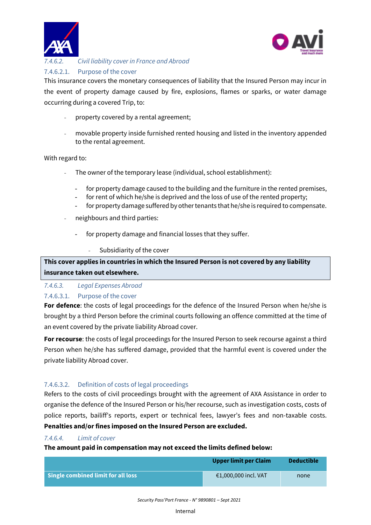



#### $\overline{\phantom{a}}$ *7.4.6.2. Civil liability cover in France and Abroad* 7.4.6.2.1. Purpose of the cover

This insurance covers the monetary consequences of liability that the Insured Person may incur in the event of property damage caused by fire, explosions, flames or sparks, or water damage occurring during a covered Trip, to:

- property covered by a rental agreement;
- movable property inside furnished rented housing and listed in the inventory appended to the rental agreement.

## With regard to:

- The owner of the temporary lease (individual, school establishment):
	- for property damage caused to the building and the furniture in the rented premises,
	- for rent of which he/she is deprived and the loss of use of the rented property;
	- for property damage suffered by other tenants that he/she is required to compensate.
- neighbours and third parties:
	- for property damage and financial losses that they suffer.
		- Subsidiarity of the cover

**This cover applies in countries in which the Insured Person is not covered by any liability insurance taken out elsewhere.**

#### *7.4.6.3. Legal Expenses Abroad*

#### 7.4.6.3.1. Purpose of the cover

**For defence**: the costs of legal proceedings for the defence of the Insured Person when he/she is brought by a third Person before the criminal courts following an offence committed at the time of an event covered by the private liability Abroad cover.

**For recourse**: the costs of legal proceedings for the Insured Person to seek recourse against a third Person when he/she has suffered damage, provided that the harmful event is covered under the private liability Abroad cover.

#### 7.4.6.3.2. Definition of costs of legal proceedings

Refers to the costs of civil proceedings brought with the agreement of AXA Assistance in order to organise the defence of the Insured Person or his/her recourse, such as investigation costs, costs of police reports, bailiff's reports, expert or technical fees, lawyer's fees and non-taxable costs. **Penalties and/or fines imposed on the Insured Person are excluded.**

#### *7.4.6.4. Limit of cover*

**The amount paid in compensation may not exceed the limits defined below:**

|                                    | Upper limit per Claim | <b>Deductible</b> |
|------------------------------------|-----------------------|-------------------|
| Single combined limit for all loss | €1,000,000 incl. VAT  | none              |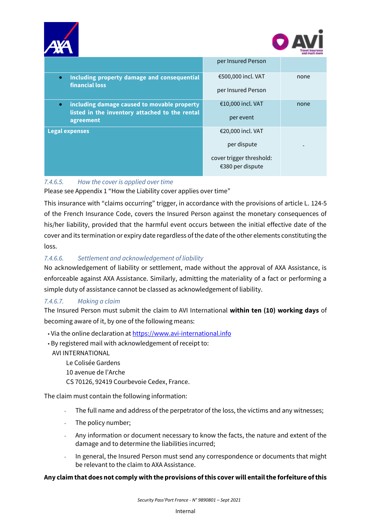



|                                                                                                                         | per Insured Person                           |      |
|-------------------------------------------------------------------------------------------------------------------------|----------------------------------------------|------|
| Including property damage and consequential<br>$\bullet$<br><b>financial loss</b>                                       | €500,000 incl. VAT<br>per Insured Person     | none |
| including damage caused to movable property<br>$\bullet$<br>listed in the inventory attached to the rental<br>agreement | €10,000 incl. VAT<br>per event               | none |
| <b>Legal expenses</b>                                                                                                   | €20,000 incl. VAT                            |      |
|                                                                                                                         | per dispute                                  |      |
|                                                                                                                         | cover trigger threshold:<br>€380 per dispute |      |

# *7.4.6.5. How the cover is applied over time*

Please see Appendix 1 "How the Liability cover applies over time"

This insurance with "claims occurring" trigger, in accordance with the provisions of article L. 124-5 of the French Insurance Code, covers the Insured Person against the monetary consequences of his/her liability, provided that the harmful event occurs between the initial effective date of the cover and its termination or expiry date regardless of the date of the other elements constituting the loss.

# *7.4.6.6. Settlement and acknowledgement of liability*

No acknowledgement of liability or settlement, made without the approval of AXA Assistance, is enforceable against AXA Assistance. Similarly, admitting the materiality of a fact or performing a simple duty of assistance cannot be classed as acknowledgement of liability.

# *7.4.6.7. Making a claim*

The Insured Person must submit the claim to AVI International **within ten (10) working days** of becoming aware of it, by one of the following means:

- Via the online declaration at [https://www.avi-international.info](https://www.avi-international.info/)
- By registered mail with acknowledgement of receipt to:

AVI INTERNATIONAL

Le Colisée Gardens 10 avenue de l'Arche CS 70126, 92419 Courbevoie Cedex, France.

The claim must contain the following information:

- The full name and address of the perpetrator of the loss, the victims and any witnesses;
- The policy number;
- Any information or document necessary to know the facts, the nature and extent of the damage and to determine the liabilities incurred;
- In general, the Insured Person must send any correspondence or documents that might be relevant to the claim to AXA Assistance.

#### **Any claim that does not comply with the provisions of this cover will entail the forfeiture of this**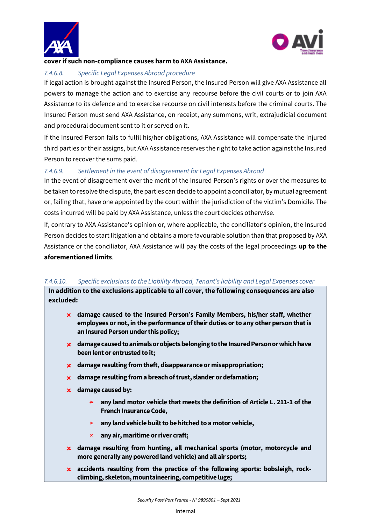



## **cover if such non-compliance causes harm to AXA Assistance.**

## *7.4.6.8. Specific Legal Expenses Abroad procedure*

If legal action is brought against the Insured Person, the Insured Person will give AXA Assistance all powers to manage the action and to exercise any recourse before the civil courts or to join AXA Assistance to its defence and to exercise recourse on civil interests before the criminal courts. The Insured Person must send AXA Assistance, on receipt, any summons, writ, extrajudicial document and procedural document sent to it or served on it.

If the Insured Person fails to fulfil his/her obligations, AXA Assistance will compensate the injured third parties or their assigns, but AXA Assistance reserves the right to take action against the Insured Person to recover the sums paid.

# *7.4.6.9. Settlement in the event of disagreement for Legal Expenses Abroad*

In the event of disagreement over the merit of the Insured Person's rights or over the measures to be taken to resolve the dispute, the parties can decide to appoint a conciliator, by mutual agreement or, failing that, have one appointed by the court within the jurisdiction of the victim's Domicile. The costs incurred will be paid by AXA Assistance, unless the court decides otherwise.

If, contrary to AXA Assistance's opinion or, where applicable, the conciliator's opinion, the Insured Person decides to start litigation and obtains a more favourable solution than that proposed by AXA Assistance or the conciliator, AXA Assistance will pay the costs of the legal proceedings **up to the aforementioned limits**.

#### 7.4.6.10. Specific exclusions to the Liability Abroad, Tenant's liability and Legal Expenses cover

**In addition to the exclusions applicable to all cover, the following consequences are also excluded:**

- **damage caused to the Insured Person's Family Members, his/her staff, whether employees or not, in the performance of their duties or to any other person that is an Insured Person under this policy;**
- **damage caused to animals or objects belonging to the Insured Person or which have been lent or entrusted to it;**
- **damage resulting from theft, disappearance or misappropriation;**
- **damage resulting from a breach of trust, slander or defamation;**
- **damage caused by:**
	- **any land motor vehicle that meets the definition of Article L. 211-1 of the French Insurance Code,**
	- **any land vehicle built to be hitched to a motor vehicle,**
	- **any air, maritime or river craft;**
- **damage resulting from hunting, all mechanical sports (motor, motorcycle and more generally any powered land vehicle) and all air sports;**
- **accidents resulting from the practice of the following sports: bobsleigh, rockclimbing, skeleton, mountaineering, competitive luge;**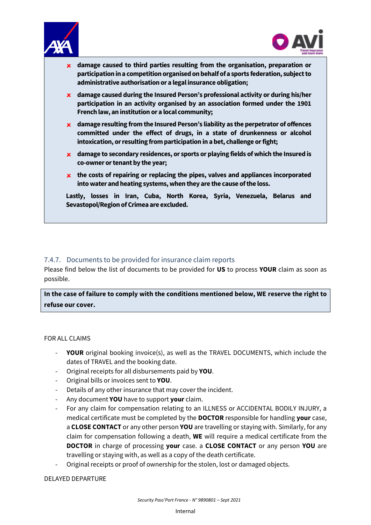



- **damage caused to third parties resulting from the organisation, preparation or participation in a competition organised on behalf of a sports federation, subjectto administrative authorisation or a legal insurance obligation;**
- **damage caused during the Insured Person's professional activity or during his/her participation in an activity organised by an association formed under the 1901 French law, an institution or a local community;**
- **damage resulting from the Insured Person's liability as the perpetrator of offences committed under the effect of drugs, in a state of drunkenness or alcohol intoxication, or resulting from participation in a bet, challenge or fight;**
- **damage to secondary residences, or sports or playing fields of which the Insured is co-owner or tenant by the year;**
- **the costs of repairing or replacing the pipes, valves and appliances incorporated into water and heating systems, when they are the cause of the loss.**

**Lastly, losses in Iran, Cuba, North Korea, Syria, Venezuela, Belarus and Sevastopol/Region of Crimea are excluded.**

### <span id="page-38-0"></span>7.4.7. Documents to be provided for insurance claim reports

Please find below the list of documents to be provided for **US** to process **YOUR** claim as soon as possible.

**In the case of failure to comply with the conditions mentioned below, WE reserve the right to refuse our cover.**

#### FOR ALL CLAIMS

- **YOUR** original booking invoice(s), as well as the TRAVEL DOCUMENTS, which include the dates of TRAVEL and the booking date.
- Original receipts for all disbursements paid by **YOU**.
- Original bills or invoices sent to **YOU**.
- Details of any other insurance that may cover the incident.
- Any document **YOU** have to support **your** claim.
- For any claim for compensation relating to an ILLNESS or ACCIDENTAL BODILY INJURY, a medical certificate must be completed by the **DOCTOR** responsible for handling **your** case, a **CLOSE CONTACT** or any other person **YOU** are travelling or staying with. Similarly, for any claim for compensation following a death, **WE** will require a medical certificate from the **DOCTOR** in charge of processing **your** case. a **CLOSE CONTACT** or any person **YOU** are travelling or staying with, as well as a copy of the death certificate.
- Original receipts or proof of ownership for the stolen, lost or damaged objects.

#### DELAYED DEPARTURE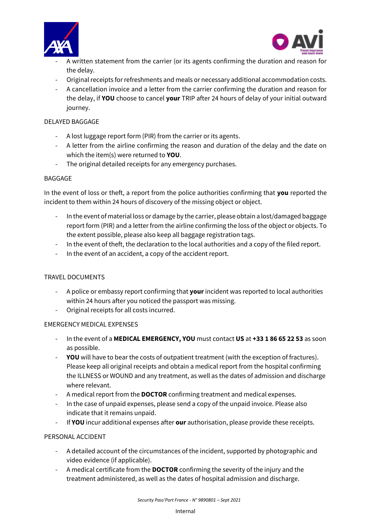



- $\overline{\phantom{a}}$ A written statement from the carrier (or its agents confirming the duration and reason for the delay.
- Original receipts for refreshments and meals or necessary additional accommodation costs.
- A cancellation invoice and a letter from the carrier confirming the duration and reason for the delay, if **YOU** choose to cancel **your** TRIP after 24 hours of delay of your initial outward journey.

## DELAYED BAGGAGE

- A lost luggage report form (PIR) from the carrier or its agents.
- A letter from the airline confirming the reason and duration of the delay and the date on which the item(s) were returned to **YOU**.
- The original detailed receipts for any emergency purchases.

#### BAGGAGE

In the event of loss or theft, a report from the police authorities confirming that **you** reported the incident to them within 24 hours of discovery of the missing object or object.

- In the event of material loss or damage by the carrier, please obtain a lost/damaged baggage report form (PIR) and a letter from the airline confirming the loss of the object or objects. To the extent possible, please also keep all baggage registration tags.
- In the event of theft, the declaration to the local authorities and a copy of the filed report.
- In the event of an accident, a copy of the accident report.

# TRAVEL DOCUMENTS

- A police or embassy report confirming that **your** incident was reported to local authorities within 24 hours after you noticed the passport was missing.
- Original receipts for all costs incurred.

#### EMERGENCY MEDICAL EXPENSES

- In the event of a **MEDICAL EMERGENCY, YOU** must contact **US** at **+33 1 86 65 22 53** as soon as possible.
- **YOU** will have to bear the costs of outpatient treatment (with the exception of fractures). Please keep all original receipts and obtain a medical report from the hospital confirming the ILLNESS or WOUND and any treatment, as well as the dates of admission and discharge where relevant.
- A medical report from the **DOCTOR** confirming treatment and medical expenses.
- In the case of unpaid expenses, please send a copy of the unpaid invoice. Please also indicate that it remains unpaid.
- If **YOU** incur additional expenses after **our** authorisation, please provide these receipts.

#### PERSONAL ACCIDENT

- A detailed account of the circumstances of the incident, supported by photographic and video evidence (if applicable).
- A medical certificate from the **DOCTOR** confirming the severity of the injury and the treatment administered, as well as the dates of hospital admission and discharge.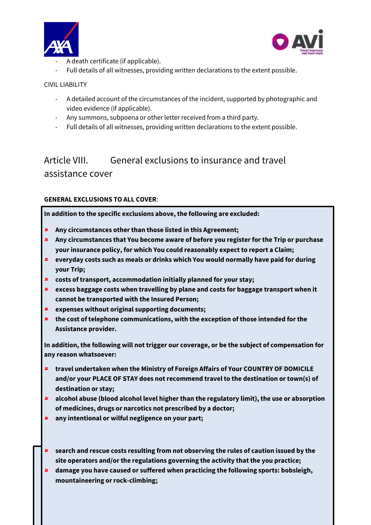



- $\overline{\phantom{a}}$ A death certificate (if applicable).
- Full details of all witnesses, providing written declarations to the extent possible.

### CIVIL LIABILITY

- A detailed account of the circumstances of the incident, supported by photographic and video evidence (if applicable).
- Any summons, subpoena or other letter received from a third party.
- Full details of all witnesses, providing written declarations to the extent possible.

# <span id="page-40-0"></span>Article VIII. General exclusions to insurance and travel assistance cover

## **GENERAL EXCLUSIONS TO ALL COVER**:

**In addition to the specific exclusions above, the following are excluded:**

- **Any circumstances other than those listed in this Agreement;**
- **Any circumstances that You become aware of before you register for the Trip or purchase your insurance policy, for which You could reasonably expect to report a Claim;**
- **everyday costs such as meals or drinks which You would normally have paid for during your Trip;**
- **costs of transport, accommodation initially planned for your stay;**
- **excess baggage costs when travelling by plane and costs for baggage transport when it cannot be transported with the Insured Person;**
- **expenses without original supporting documents;**
- **the cost of telephone communications, with the exception of those intended for the Assistance provider.**

**In addition, the following will not trigger our coverage, or be the subject of compensation for any reason whatsoever:**

- **travel undertaken when the Ministry of Foreign Affairs of Your COUNTRY OF DOMICILE and/or your PLACE OF STAY does not recommend travel to the destination or town(s) of destination or stay;**
- **alcohol abuse (blood alcohol level higher than the regulatory limit), the use or absorption of medicines, drugs or narcotics not prescribed by a doctor;**
- **any intentional or wilful negligence on your part;**
- **search and rescue costs resulting from not observing the rules of caution issued by the site operators and/or the regulations governing the activity that the you practice;**
- **damage you have caused or suffered when practicing the following sports: bobsleigh, mountaineering or rock-climbing;**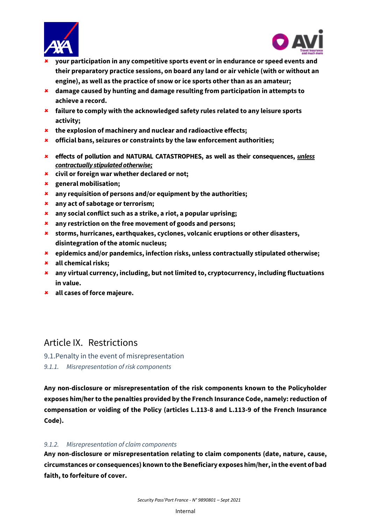



- $\overline{\phantom{a}}$  **your participation in any competitive sports event or in endurance or speed events and their preparatory practice sessions, on board any land or air vehicle (with or without an engine), as well as the practice of snow or ice sports other than as an amateur;**
- **damage caused by hunting and damage resulting from participation in attempts to achieve a record.**
- **failure to comply with the acknowledged safety rules related to any leisure sports activity;**
- **the explosion of machinery and nuclear and radioactive effects;**
- **official bans, seizures or constraints by the law enforcement authorities;**
- **effects of pollution and NATURAL CATASTROPHES, as well as their consequences,** *unless contractually stipulated otherwise;*
- **civil or foreign war whether declared or not;**
- **general mobilisation;**
- **any requisition of persons and/or equipment by the authorities;**
- **any act of sabotage or terrorism;**
- **any social conflict such as a strike, a riot, a popular uprising;**
- **any restriction on the free movement of goods and persons;**
- **storms, hurricanes, earthquakes, cyclones, volcanic eruptions or other disasters, disintegration of the atomic nucleus;**
- **epidemics and/or pandemics, infection risks, unless contractually stipulated otherwise;**
- **all chemical risks;**
- **any virtual currency, including, but not limited to, cryptocurrency, including fluctuations in value.**
- **all cases of force majeure.**

# <span id="page-41-0"></span>Article IX. Restrictions

- <span id="page-41-1"></span>9.1.Penalty in the event of misrepresentation
- *9.1.1. Misrepresentation of risk components*

**Any non-disclosure or misrepresentation of the risk components known to the Policyholder exposes him/her to the penalties provided by the French Insurance Code, namely: reduction of compensation or voiding of the Policy (articles L.113-8 and L.113-9 of the French Insurance Code).**

# *9.1.2. Misrepresentation of claim components*

**Any non-disclosure or misrepresentation relating to claim components (date, nature, cause, circumstances or consequences) known to the Beneficiary exposes him/her, in the event of bad faith, to forfeiture of cover.**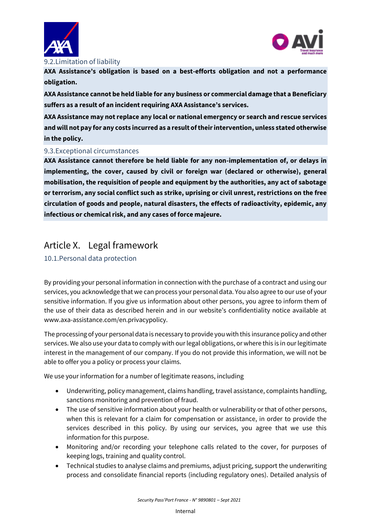



#### <span id="page-42-0"></span>9.2.Limitation of liability

**AXA Assistance's obligation is based on a best-efforts obligation and not a performance obligation.**

**AXA Assistance cannot be held liable for any business or commercial damage that a Beneficiary suffers as a result of an incident requiring AXA Assistance's services.**

**AXA Assistance may not replace any local or national emergency or search and rescue services and will not pay for any costs incurred as a result of their intervention, unless stated otherwise in the policy.**

#### <span id="page-42-1"></span>9.3.Exceptional circumstances

**AXA Assistance cannot therefore be held liable for any non-implementation of, or delays in implementing, the cover, caused by civil or foreign war (declared or otherwise), general mobilisation, the requisition of people and equipment by the authorities, any act of sabotage or terrorism, any social conflict such as strike, uprising or civil unrest, restrictions on the free circulation of goods and people, natural disasters, the effects of radioactivity, epidemic, any infectious or chemical risk, and any cases of force majeure.**

# <span id="page-42-2"></span>Article X. Legal framework

# <span id="page-42-3"></span>10.1.Personal data protection

By providing your personal information in connection with the purchase of a contract and using our services, you acknowledge that we can process your personal data. You also agree to our use of your sensitive information. If you give us information about other persons, you agree to inform them of the use of their data as described herein and in our website's confidentiality notice available at www.axa-assistance.com/en.privacypolicy.

The processing of your personal data is necessary to provide you with this insurance policy and other services. We also use your data to comply with our legal obligations, or where this is in our legitimate interest in the management of our company. If you do not provide this information, we will not be able to offer you a policy or process your claims.

We use your information for a number of legitimate reasons, including

- Underwriting, policy management, claims handling, travel assistance, complaints handling, sanctions monitoring and prevention of fraud.
- The use of sensitive information about your health or vulnerability or that of other persons, when this is relevant for a claim for compensation or assistance, in order to provide the services described in this policy. By using our services, you agree that we use this information for this purpose.
- Monitoring and/or recording your telephone calls related to the cover, for purposes of keeping logs, training and quality control.
- Technical studies to analyse claims and premiums, adjust pricing, support the underwriting process and consolidate financial reports (including regulatory ones). Detailed analysis of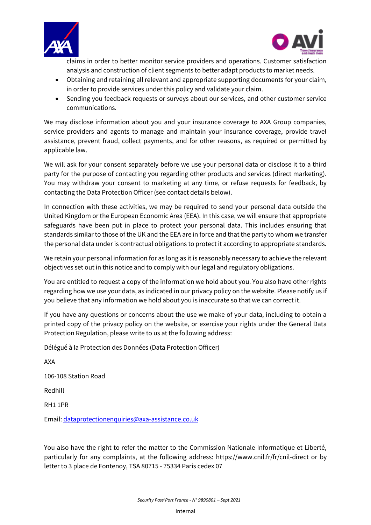



claims in order to better monitor service providers and operations. Customer satisfaction analysis and construction of client segments to better adapt products to market needs.

- Obtaining and retaining all relevant and appropriate supporting documents for your claim, in order to provide services under this policy and validate your claim.
- Sending you feedback requests or surveys about our services, and other customer service communications.

We may disclose information about you and your insurance coverage to AXA Group companies, service providers and agents to manage and maintain your insurance coverage, provide travel assistance, prevent fraud, collect payments, and for other reasons, as required or permitted by applicable law.

We will ask for your consent separately before we use your personal data or disclose it to a third party for the purpose of contacting you regarding other products and services (direct marketing). You may withdraw your consent to marketing at any time, or refuse requests for feedback, by contacting the Data Protection Officer (see contact details below).

In connection with these activities, we may be required to send your personal data outside the United Kingdom or the European Economic Area (EEA). In this case, we will ensure that appropriate safeguards have been put in place to protect your personal data. This includes ensuring that standards similar to those of the UK and the EEA are in force and that the party to whom we transfer the personal data under is contractual obligations to protect it according to appropriate standards.

We retain your personal information for as long as it is reasonably necessary to achieve the relevant objectives set out in this notice and to comply with our legal and regulatory obligations.

You are entitled to request a copy of the information we hold about you. You also have other rights regarding how we use your data, as indicated in our privacy policy on the website. Please notify us if you believe that any information we hold about you is inaccurate so that we can correct it.

If you have any questions or concerns about the use we make of your data, including to obtain a printed copy of the privacy policy on the website, or exercise your rights under the General Data Protection Regulation, please write to us at the following address:

Délégué à la Protection des Données (Data Protection Officer)

AXA 106-108 Station Road Redhill

RH1 1PR

Email: [dataprotectionenquiries@axa-assistance.co.uk](mailto:dataprotectionenquiries@axa-assistance.co.uk)

You also have the right to refer the matter to the Commission Nationale Informatique et Liberté, particularly for any complaints, at the following address: https://www.cnil.fr/fr/cnil-direct or by letter to 3 place de Fontenoy, TSA 80715 - 75334 Paris cedex 07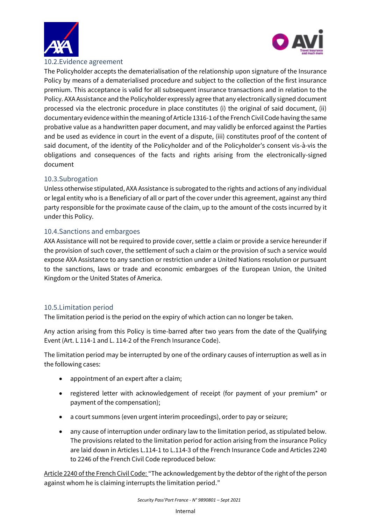



## <span id="page-44-0"></span>10.2.Evidence agreement

The Policyholder accepts the dematerialisation of the relationship upon signature of the Insurance Policy by means of a dematerialised procedure and subject to the collection of the first insurance premium. This acceptance is valid for all subsequent insurance transactions and in relation to the Policy. AXA Assistance and the Policyholder expressly agree that any electronically signed document processed via the electronic procedure in place constitutes (i) the original of said document, (ii) documentary evidence within the meaning of Article 1316-1 of the French Civil Code having the same probative value as a handwritten paper document, and may validly be enforced against the Parties and be used as evidence in court in the event of a dispute, (iii) constitutes proof of the content of said document, of the identity of the Policyholder and of the Policyholder's consent vis-à-vis the obligations and consequences of the facts and rights arising from the electronically-signed document

## <span id="page-44-1"></span>10.3.Subrogation

Unless otherwise stipulated, AXA Assistance is subrogated to the rights and actions of any individual or legal entity who is a Beneficiary of all or part of the cover under this agreement, against any third party responsible for the proximate cause of the claim, up to the amount of the costs incurred by it under this Policy.

## <span id="page-44-2"></span>10.4.Sanctions and embargoes

AXA Assistance will not be required to provide cover, settle a claim or provide a service hereunder if the provision of such cover, the settlement of such a claim or the provision of such a service would expose AXA Assistance to any sanction or restriction under a United Nations resolution or pursuant to the sanctions, laws or trade and economic embargoes of the European Union, the United Kingdom or the United States of America.

# <span id="page-44-3"></span>10.5.Limitation period

The limitation period is the period on the expiry of which action can no longer be taken.

Any action arising from this Policy is time-barred after two years from the date of the Qualifying Event (Art. L 114-1 and L. 114-2 of the French Insurance Code).

The limitation period may be interrupted by one of the ordinary causes of interruption as well as in the following cases:

- appointment of an expert after a claim;
- registered letter with acknowledgement of receipt (for payment of your premium\* or payment of the compensation);
- a court summons (even urgent interim proceedings), order to pay or seizure;
- any cause of interruption under ordinary law to the limitation period, as stipulated below. The provisions related to the limitation period for action arising from the insurance Policy are laid down in Articles L.114-1 to L.114-3 of the French Insurance Code and Articles 2240 to 2246 of the French Civil Code reproduced below:

Article 2240 of the French Civil Code: "The acknowledgement by the debtor of the right of the person against whom he is claiming interrupts the limitation period."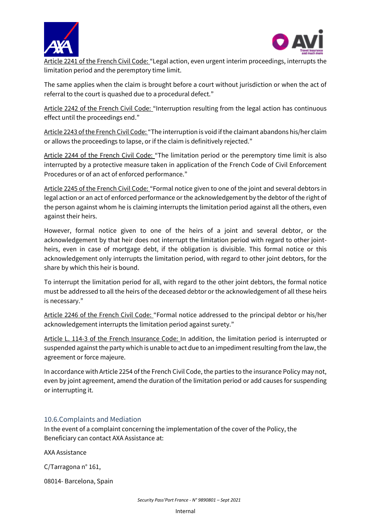



 $\overline{\phantom{a}}$ Article 2241 of the French Civil Code: "Legal action, even urgent interim proceedings, interrupts the limitation period and the peremptory time limit.

The same applies when the claim is brought before a court without jurisdiction or when the act of referral to the court is quashed due to a procedural defect."

Article 2242 of the French Civil Code: "Interruption resulting from the legal action has continuous effect until the proceedings end."

Article 2243 of the French Civil Code: "The interruption is void if the claimant abandons his/her claim or allows the proceedings to lapse, or if the claim is definitively rejected."

Article 2244 of the French Civil Code: "The limitation period or the peremptory time limit is also interrupted by a protective measure taken in application of the French Code of Civil Enforcement Procedures or of an act of enforced performance."

Article 2245 of the French Civil Code: "Formal notice given to one of the joint and several debtors in legal action or an act of enforced performance or the acknowledgement by the debtor of the right of the person against whom he is claiming interrupts the limitation period against all the others, even against their heirs.

However, formal notice given to one of the heirs of a joint and several debtor, or the acknowledgement by that heir does not interrupt the limitation period with regard to other jointheirs, even in case of mortgage debt, if the obligation is divisible. This formal notice or this acknowledgement only interrupts the limitation period, with regard to other joint debtors, for the share by which this heir is bound.

To interrupt the limitation period for all, with regard to the other joint debtors, the formal notice must be addressed to all the heirs of the deceased debtor or the acknowledgement of all these heirs is necessary."

Article 2246 of the French Civil Code: "Formal notice addressed to the principal debtor or his/her acknowledgement interrupts the limitation period against surety."

Article L. 114-3 of the French Insurance Code: In addition, the limitation period is interrupted or suspended against the party which is unable to act due to an impediment resulting from the law, the agreement or force majeure.

In accordance with Article 2254 of the French Civil Code, the parties to the insurance Policy may not, even by joint agreement, amend the duration of the limitation period or add causes for suspending or interrupting it.

# <span id="page-45-0"></span>10.6.Complaints and Mediation

In the event of a complaint concerning the implementation of the cover of the Policy, the Beneficiary can contact AXA Assistance at:

AXA Assistance

C/Tarragona n° 161,

08014- Barcelona, Spain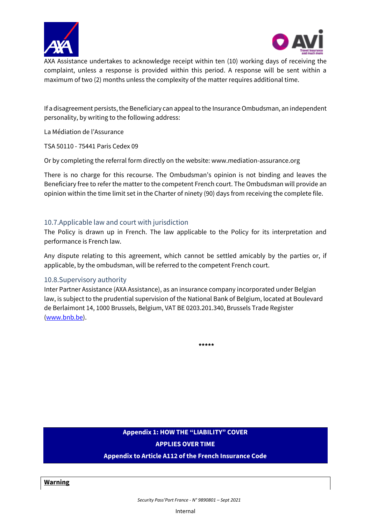



 $\overline{\phantom{a}}$ AXA Assistance undertakes to acknowledge receipt within ten (10) working days of receiving the complaint, unless a response is provided within this period. A response will be sent within a maximum of two (2) months unless the complexity of the matter requires additional time.

If a disagreement persists, the Beneficiary can appeal to the Insurance Ombudsman, an independent personality, by writing to the following address:

La Médiation de l'Assurance

TSA 50110 - 75441 Paris Cedex 09

Or by completing the referral form directly on the website: www.mediation-assurance.org

There is no charge for this recourse. The Ombudsman's opinion is not binding and leaves the Beneficiary free to refer the matter to the competent French court. The Ombudsman will provide an opinion within the time limit set in the Charter of ninety (90) days from receiving the complete file.

#### <span id="page-46-0"></span>10.7.Applicable law and court with jurisdiction

The Policy is drawn up in French. The law applicable to the Policy for its interpretation and performance is French law.

Any dispute relating to this agreement, which cannot be settled amicably by the parties or, if applicable, by the ombudsman, will be referred to the competent French court.

#### <span id="page-46-1"></span>10.8.Supervisory authority

Inter Partner Assistance (AXA Assistance), as an insurance company incorporated under Belgian law, is subject to the prudential supervision of the National Bank of Belgium, located at Boulevard de Berlaimont 14, 1000 Brussels, Belgium, VAT BE 0203.201.340, Brussels Trade Register [\(www.bnb.be\)](http://www.bnb.be/).

**\*\*\*\*\***

# **Appendix 1: HOW THE "LIABILITY" COVER APPLIES OVER TIME**

**Appendix to Article A112 of the French Insurance Code**

**Warning**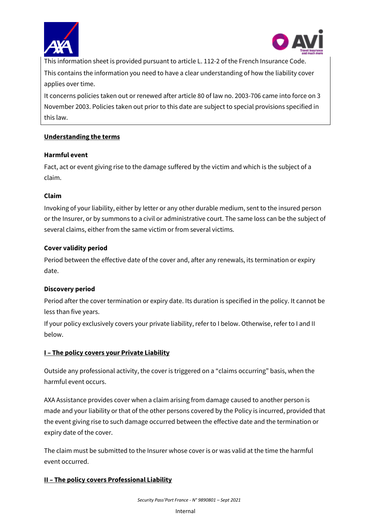



 $\overline{\phantom{a}}$ This information sheet is provided pursuant to article L. 112-2 of the French Insurance Code. This contains the information you need to have a clear understanding of how the liability cover applies over time.

It concerns policies taken out or renewed after article 80 of law no. 2003-706 came into force on 3 November 2003. Policies taken out prior to this date are subject to special provisions specified in this law.

# **Understanding the terms**

## **Harmful event**

Fact, act or event giving rise to the damage suffered by the victim and which is the subject of a claim.

## **Claim**

Invoking of your liability, either by letter or any other durable medium, sent to the insured person or the Insurer, or by summons to a civil or administrative court. The same loss can be the subject of several claims, either from the same victim or from several victims.

## **Cover validity period**

Period between the effective date of the cover and, after any renewals, its termination or expiry date.

# **Discovery period**

Period after the cover termination or expiry date. Its duration is specified in the policy. It cannot be less than five years.

If your policy exclusively covers your private liability, refer to I below. Otherwise, refer to I and II below.

# **I – The policy covers your Private Liability**

Outside any professional activity, the cover is triggered on a "claims occurring" basis, when the harmful event occurs.

AXA Assistance provides cover when a claim arising from damage caused to another person is made and your liability or that of the other persons covered by the Policy is incurred, provided that the event giving rise to such damage occurred between the effective date and the termination or expiry date of the cover.

The claim must be submitted to the Insurer whose cover is or was valid at the time the harmful event occurred.

# **II – The policy covers Professional Liability**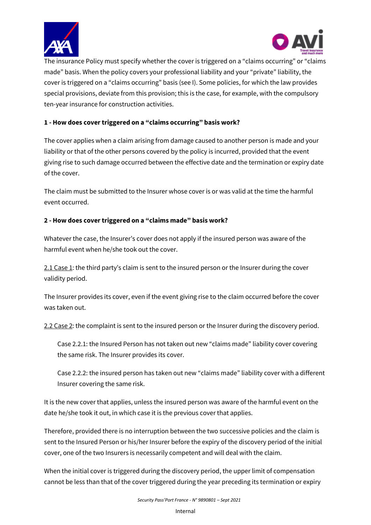



 $\overline{\phantom{a}}$ The insurance Policy must specify whether the cover is triggered on a "claims occurring" or "claims made" basis. When the policy covers your professional liability and your "private" liability, the cover is triggered on a "claims occurring" basis (see I). Some policies, for which the law provides special provisions, deviate from this provision; this is the case, for example, with the compulsory ten-year insurance for construction activities.

# **1 - How does cover triggered on a "claims occurring" basis work?**

The cover applies when a claim arising from damage caused to another person is made and your liability or that of the other persons covered by the policy is incurred, provided that the event giving rise to such damage occurred between the effective date and the termination or expiry date of the cover.

The claim must be submitted to the Insurer whose cover is or was valid at the time the harmful event occurred.

# **2 - How does cover triggered on a "claims made" basis work?**

Whatever the case, the Insurer's cover does not apply if the insured person was aware of the harmful event when he/she took out the cover.

2.1 Case 1: the third party's claim is sent to the insured person or the Insurer during the cover validity period.

The Insurer provides its cover, even if the event giving rise to the claim occurred before the cover was taken out.

2.2 Case 2: the complaint is sent to the insured person or the Insurer during the discovery period.

Case 2.2.1: the Insured Person has not taken out new "claims made" liability cover covering the same risk. The Insurer provides its cover.

Case 2.2.2: the insured person has taken out new "claims made" liability cover with a different Insurer covering the same risk.

It is the new cover that applies, unless the insured person was aware of the harmful event on the date he/she took it out, in which case it is the previous cover that applies.

Therefore, provided there is no interruption between the two successive policies and the claim is sent to the Insured Person or his/her Insurer before the expiry of the discovery period of the initial cover, one of the two Insurers is necessarily competent and will deal with the claim.

When the initial cover is triggered during the discovery period, the upper limit of compensation cannot be less than that of the cover triggered during the year preceding its termination or expiry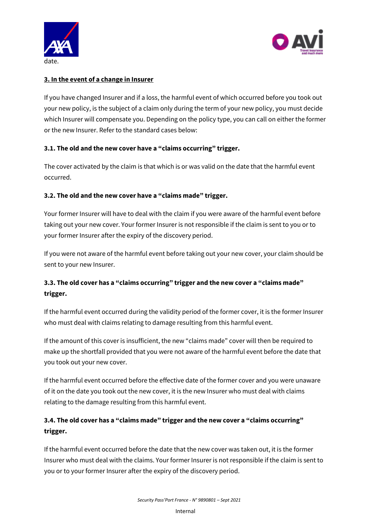



# **3. In the event of a change in Insurer**

If you have changed Insurer and if a loss, the harmful event of which occurred before you took out your new policy, is the subject of a claim only during the term of your new policy, you must decide which Insurer will compensate you. Depending on the policy type, you can call on either the former or the new Insurer. Refer to the standard cases below:

# **3.1. The old and the new cover have a "claims occurring" trigger.**

The cover activated by the claim is that which is or was valid on the date that the harmful event occurred.

# **3.2. The old and the new cover have a "claims made" trigger.**

Your former Insurer will have to deal with the claim if you were aware of the harmful event before taking out your new cover. Your former Insurer is not responsible if the claim is sent to you or to your former Insurer after the expiry of the discovery period.

If you were not aware of the harmful event before taking out your new cover, your claim should be sent to your new Insurer.

# **3.3. The old cover has a "claims occurring" trigger and the new cover a "claims made" trigger.**

If the harmful event occurred during the validity period of the former cover, it is the former Insurer who must deal with claims relating to damage resulting from this harmful event.

If the amount of this cover is insufficient, the new "claims made" cover will then be required to make up the shortfall provided that you were not aware of the harmful event before the date that you took out your new cover.

If the harmful event occurred before the effective date of the former cover and you were unaware of it on the date you took out the new cover, it is the new Insurer who must deal with claims relating to the damage resulting from this harmful event.

# **3.4. The old cover has a "claims made" trigger and the new cover a "claims occurring" trigger.**

If the harmful event occurred before the date that the new cover was taken out, it is the former Insurer who must deal with the claims. Your former Insurer is not responsible if the claim is sent to you or to your former Insurer after the expiry of the discovery period.

Internal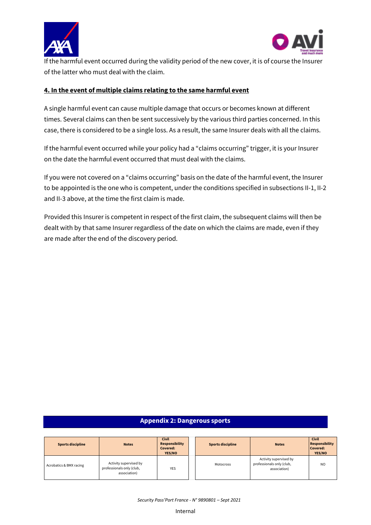



If the harmful event occurred during the validity period of the new cover, it is of course the Insurer of the latter who must deal with the claim.

### **4. In the event of multiple claims relating to the same harmful event**

A single harmful event can cause multiple damage that occurs or becomes known at different times. Several claims can then be sent successively by the various third parties concerned. In this case, there is considered to be a single loss. As a result, the same Insurer deals with all the claims.

If the harmful event occurred while your policy had a "claims occurring" trigger, it is your Insurer on the date the harmful event occurred that must deal with the claims.

If you were not covered on a "claims occurring" basis on the date of the harmful event, the Insurer to be appointed is the one who is competent, under the conditions specified in subsections II-1, II-2 and II-3 above, at the time the first claim is made.

Provided this Insurer is competent in respect of the first claim, the subsequent claims will then be dealt with by that same Insurer regardless of the date on which the claims are made, even if they are made after the end of the discovery period.

#### **Appendix 2: Dangerous sports**

| <b>Sports discipline</b> | <b>Notes</b>                                                        | <b>Civil</b><br><b>Responsibility</b><br>Covered:<br>YES/NO | <b>Sports discipline</b> | <b>Notes</b>                                                        | <b>Civil</b><br><b>Responsibility</b><br>Covered:<br>YES/NO |
|--------------------------|---------------------------------------------------------------------|-------------------------------------------------------------|--------------------------|---------------------------------------------------------------------|-------------------------------------------------------------|
| Acrobatics & BMX racing  | Activity supervised by<br>professionals only (club,<br>association) | <b>YES</b>                                                  | Motocross                | Activity supervised by<br>professionals only (club,<br>association) | N <sub>O</sub>                                              |